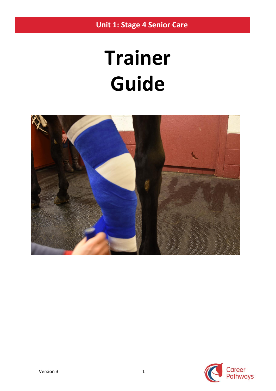# **Trainer Guide**



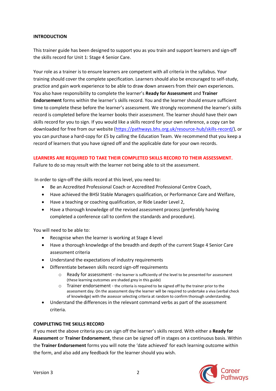### **INTRODUCTION**

This trainer guide has been designed to support you as you train and support learners and sign-off the skills record for Unit 1: Stage 4 Senior Care.

Your role as a trainer is to ensure learners are competent with all criteria in the syllabus. Your training should cover the complete specification. Learners should also be encouraged to self-study, practice and gain work experience to be able to draw down answers from their own experiences. You also have responsibility to complete the learner's **Ready for Assessment** and **Trainer Endorsement** forms within the learner's skills record. You and the learner should ensure sufficient time to complete these before the learner's assessment. We strongly recommend the learner's skills record is completed before the learner books their assessment. The learner should have their own skills record for you to sign. If you would like a skills record for your own reference, a copy can be downloaded for free from our website [\(https://pathways.bhs.org.uk/resource-hub/skills-record/\)](https://pathways.bhs.org.uk/resource-hub/skills-record/), or you can purchase a hard-copy for £5 by calling the Education Team. We recommend that you keep a record of learners that you have signed off and the applicable date for your own records.

## **LEARNERS ARE REQUIRED TO TAKE THEIR COMPLETED SKILLS RECORD TO THEIR ASSESSMENT.**

Failure to do so may result with the learner not being able to sit the assessment.

In order to sign-off the skills record at this level, you need to:

- Be an Accredited Professional Coach or Accredited Professional Centre Coach,
- Have achieved the BHSI Stable Managers qualification, or Performance Care and Welfare,
- Have a teaching or coaching qualification, or Ride Leader Level 2,
- Have a thorough knowledge of the revised assessment process (preferably having completed a conference call to confirm the standards and procedure).

You will need to be able to:

- Recognise when the learner is working at Stage 4 level
- Have a thorough knowledge of the breadth and depth of the current Stage 4 Senior Care assessment criteria
- Understand the expectations of industry requirements
- Differentiate between skills record sign-off requirements
	- o Ready for assessment the learner is sufficiently of the level to be presented for assessment (these learning outcomes are shaded grey in this guide)
	- o Trainer endorsement the criteria is required to be signed off by the trainer prior to the assessment day. On the assessment day the learner will be required to undertake a viva (verbal check of knowledge) with the assessor selecting criteria at random to confirm thorough understanding.
- Understand the differences in the relevant command verbs as part of the assessment criteria.

## **COMPLETING THE SKILLS RECORD**

If you meet the above criteria you can sign off the learner's skills record. With either a **Ready for Assessment** or **Trainer Endorsement**, these can be signed off in stages on a continuous basis. Within the **Trainer Endorsement** forms you will note the 'date achieved' for each learning outcome within the form, and also add any feedback for the learner should you wish.

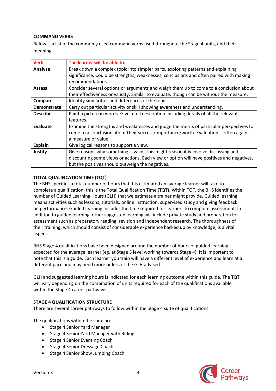## **COMMAND VERBS**

Below is a list of the commonly used command verbs used throughout the Stage 4 units, and their meaning.

| <b>Verb</b>        | The learner will be able to:                                                              |
|--------------------|-------------------------------------------------------------------------------------------|
| Analyse            | Break down a complex topic into simpler parts, exploring patterns and explaining          |
|                    | significance. Could be strengths, weaknesses, conclusions and often paired with making    |
|                    | recommendations.                                                                          |
| <b>Assess</b>      | Consider several options or arguments and weigh them up to come to a conclusion about     |
|                    | their effectiveness or validity. Similar to evaluate, though can be without the measure.  |
| Compare            | Identify similarities and differences of the topic.                                       |
| <b>Demonstrate</b> | Carry out particular activity or skill showing awareness and understanding.               |
| <b>Describe</b>    | Paint a picture in words. Give a full description including details of all the relevant   |
|                    | features.                                                                                 |
| Evaluate           | Examine the strengths and weaknesses and judge the merits of particular perspectives to   |
|                    | come to a conclusion about their success/importance/worth. Evaluation is often against    |
|                    | a measure or value.                                                                       |
| <b>Explain</b>     | Give logical reasons to support a view.                                                   |
| <b>Justify</b>     | Give reasons why something is valid. This might reasonably involve discussing and         |
|                    | discounting some views or actions. Each view or option will have positives and negatives, |
|                    | but the positives should outweigh the negatives.                                          |

### **TOTAL QUALIFICATION TIME (TQT)**

The BHS specifies a total number of hours that it is estimated an average learner will take to complete a qualification: this is the Total Qualification Time (TQT). Within TQT, the BHS identifies the number of Guided Learning Hours (GLH) that we estimate a trainer might provide. Guided learning means activities such as lessons, tutorials, online instruction, supervised study and giving feedback on performance. Guided learning includes the time required for learners to complete assessment. In addition to guided learning, other suggested learning will include private study and preparation for assessment such as preparatory reading, revision and independent research. The thoroughness of their training, which should consist of considerable experience backed up by knowledge, is a vital aspect.

BHS Stage 4 qualifications have been designed around the number of hours of guided learning expected for the average learner (eg, at Stage 3 level working towards Stage 4). It is important to note that this is a guide. Each learner you train will have a different level of experience and learn at a different pace and may need more or less of the GLH advised.

GLH and suggested learning hours is indicated for each learning outcome within this guide. The TQT will vary depending on the combination of units required for each of the qualifications available within the Stage 4 career pathways.

## **STAGE 4 QUALIFICATION STRUCTURE**

There are several career pathways to follow within the Stage 4 suite of qualifications.

The qualifications within the suite are:

- Stage 4 Senior Yard Manager
- Stage 4 Senior Yard Manager with Riding
- Stage 4 Senior Eventing Coach
- Stage 4 Senior Dressage Coach
- Stage 4 Senior Show Jumping Coach

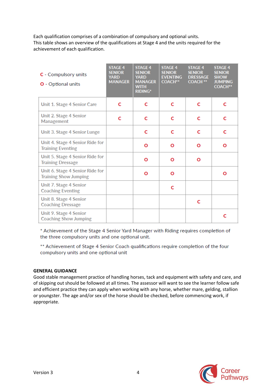Each qualification comprises of a combination of compulsory and optional units. This table shows an overview of the qualifications at Stage 4 and the units required for the achievement of each qualification.

| C - Compulsory units<br><b>O</b> - Optional units               | <b>STAGE 4</b><br><b>SENIOR</b><br><b>YARD</b><br><b>MANAGER</b> | <b>STAGE 4</b><br><b>SENIOR</b><br><b>YARD</b><br><b>MANAGER</b><br><b>WITH</b><br><b>RIDING*</b> | <b>STAGE 4</b><br><b>SENIOR</b><br><b>EVENTING</b><br><b>COACH**</b> | <b>STAGE 4</b><br><b>SENIOR</b><br><b>DRESSAGE</b><br><b>COACH **</b> | <b>STAGE 4</b><br><b>SENIOR</b><br><b>SHOW</b><br><b>JUMPING</b><br><b>COACH**</b> |
|-----------------------------------------------------------------|------------------------------------------------------------------|---------------------------------------------------------------------------------------------------|----------------------------------------------------------------------|-----------------------------------------------------------------------|------------------------------------------------------------------------------------|
| Unit 1. Stage 4 Senior Care                                     | C                                                                | C                                                                                                 | c                                                                    | C                                                                     | C                                                                                  |
| Unit 2. Stage 4 Senior<br>Management                            | c                                                                | c                                                                                                 | c                                                                    | C                                                                     | C                                                                                  |
| Unit 3. Stage 4 Senior Lunge                                    |                                                                  | c                                                                                                 | C                                                                    | C                                                                     | C                                                                                  |
| Unit 4. Stage 4 Senior Ride for<br><b>Training Eventing</b>     |                                                                  | Ο                                                                                                 | Ο                                                                    | Ο                                                                     | Ο                                                                                  |
| Unit 5. Stage 4 Senior Ride for<br><b>Training Dressage</b>     |                                                                  | Ο                                                                                                 | Ο                                                                    | Ο                                                                     |                                                                                    |
| Unit 6. Stage 4 Senior Ride for<br><b>Training Show Jumping</b> |                                                                  | O                                                                                                 | Ο                                                                    |                                                                       | O                                                                                  |
| Unit 7. Stage 4 Senior<br><b>Coaching Eventing</b>              |                                                                  |                                                                                                   | c                                                                    |                                                                       |                                                                                    |
| Unit 8. Stage 4 Senior<br><b>Coaching Dressage</b>              |                                                                  |                                                                                                   |                                                                      | c                                                                     |                                                                                    |
| Unit 9. Stage 4 Senior<br><b>Coaching Show Jumping</b>          |                                                                  |                                                                                                   |                                                                      |                                                                       | c                                                                                  |

\* Achievement of the Stage 4 Senior Yard Manager with Riding requires completion of the three compulsory units and one optional unit.

\*\* Achievement of Stage 4 Senior Coach qualifications require completion of the four compulsory units and one optional unit

### **GENERAL GUIDANCE**

Good stable management practice of handling horses, tack and equipment with safety and care, and of skipping out should be followed at all times. The assessor will want to see the learner follow safe and efficient practice they can apply when working with any horse, whether mare, gelding, stallion or youngster. The age and/or sex of the horse should be checked, before commencing work, if appropriate.

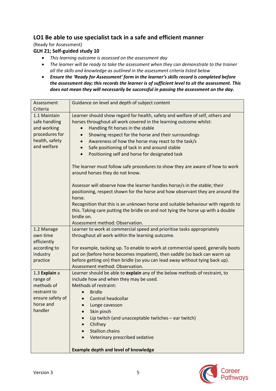# **LO1 Be able to use specialist tack in a safe and efficient manner**

(Ready for Assessment)

## **GLH 21; Self-guided study 10**

- *This learning outcome is assessed on the assessment day*
- *The learner will be ready to take the assessment when they can demonstrate to the trainer all the skills and knowledge as outlined in the assessment criteria listed below*
- *Ensure the 'Ready for Assessment' form in the learner's skills record is completed before the assessment day; this records the learner is of sufficient level to sit the assessment. This does not mean they will necessarily be successful in passing the assessment on the day.*

| Assessment       | Guidance on level and depth of subject content                                   |
|------------------|----------------------------------------------------------------------------------|
| Criteria         |                                                                                  |
| 1.1 Maintain     | Learner should show regard for health, safety and welfare of self, others and    |
| safe handling    | horses throughout all work covered in the learning outcome whilst:               |
| and working      | Handling fit horses in the stable                                                |
| procedures for   | Showing respect for the horse and their surroundings<br>$\bullet$                |
| health, safety   | Awareness of how the horse may react to the task/s<br>$\bullet$                  |
| and welfare      | Safe positioning of tack in and around stable<br>$\bullet$                       |
|                  | Positioning self and horse for designated task<br>$\bullet$                      |
|                  |                                                                                  |
|                  | The learner must follow safe procedures to show they are aware of how to work    |
|                  | around horses they do not know.                                                  |
|                  |                                                                                  |
|                  | Assessor will observe how the learner handles horse/s in the stable; their       |
|                  | positioning, respect shown for the horse and how observant they are around the   |
|                  | horse.                                                                           |
|                  | Recognition that this is an unknown horse and suitable behaviour with regards to |
|                  | this. Taking care putting the bridle on and not tying the horse up with a double |
|                  | bridle on.                                                                       |
|                  | Assessment method: Observation.                                                  |
| 1.2 Manage       | Learner to work at commercial speed and prioritise tasks appropriately           |
| own time         | throughout all work within the learning outcome.                                 |
| efficiently      |                                                                                  |
| according to     | For example, tacking up. To enable to work at commercial speed, generally boots  |
| industry         | put on (before horse becomes impatient), then saddle (so back can warm up        |
| practice         | before getting on) then bridle (so you can lead away without tying back up).     |
|                  | Assessment method: Observation.                                                  |
| 1.3 Explain a    | Learner should be able to explain any of the below methods of restraint, to      |
| range of         | include how and when they may be used.                                           |
| methods of       | Methods of restraint:                                                            |
| restraint to     | <b>Bridle</b>                                                                    |
| ensure safety of | <b>Control headcollar</b>                                                        |
| horse and        |                                                                                  |
| handler          | Lunge cavesson<br>$\bullet$                                                      |
|                  | Skin pinch                                                                       |
|                  | Lip twitch (and unacceptable twitches - ear twitch)                              |
|                  | Chifney                                                                          |
|                  | <b>Stallion chains</b>                                                           |
|                  | Veterinary prescribed sedative                                                   |
|                  | <b>Example depth and level of knowledge</b>                                      |
|                  |                                                                                  |

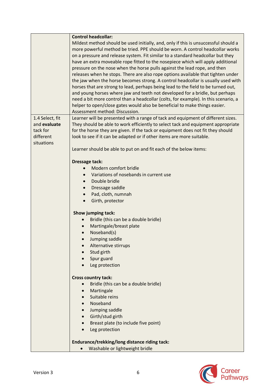|                 | <b>Control headcollar:</b>                                                          |
|-----------------|-------------------------------------------------------------------------------------|
|                 | Mildest method should be used initially, and, only if this is unsuccessful should a |
|                 | more powerful method be tried. PPE should be worn. A control headcollar works       |
|                 | on a pressure and release system. Fit similar to a standard headcollar but they     |
|                 | have an extra moveable rope fitted to the nosepiece which will apply additional     |
|                 | pressure on the nose when the horse pulls against the lead rope, and then           |
|                 | releases when he stops. There are also rope options available that tighten under    |
|                 | the jaw when the horse becomes strong. A control headcollar is usually used with    |
|                 | horses that are strong to lead, perhaps being lead to the field to be turned out,   |
|                 | and young horses where jaw and teeth not developed for a bridle, but perhaps        |
|                 | need a bit more control than a headcollar (colts, for example). In this scenario, a |
|                 | helper to open/close gates would also be beneficial to make things easier.          |
|                 | Assessment method: Discussion.                                                      |
| 1.4 Select, fit | Learner will be presented with a range of tack and equipment of different sizes.    |
| and evaluate    | They should be able to work efficiently to select tack and equipment appropriate    |
| tack for        | for the horse they are given. If the tack or equipment does not fit they should     |
| different       |                                                                                     |
|                 | look to see if it can be adapted or if other items are more suitable.               |
| situations      |                                                                                     |
|                 | Learner should be able to put on and fit each of the below items:                   |
|                 | Dressage tack:                                                                      |
|                 | Modern comfort bridle                                                               |
|                 | Variations of nosebands in current use                                              |
|                 | Double bridle                                                                       |
|                 | Dressage saddle                                                                     |
|                 | Pad, cloth, numnah                                                                  |
|                 | Girth, protector                                                                    |
|                 |                                                                                     |
|                 | Show jumping tack:                                                                  |
|                 | Bridle (this can be a double bridle)                                                |
|                 | Martingale/breast plate                                                             |
|                 | Noseband(s)                                                                         |
|                 | Jumping saddle                                                                      |
|                 | Alternative stirrups                                                                |
|                 | Stud girth                                                                          |
|                 | Spur guard                                                                          |
|                 | Leg protection                                                                      |
|                 |                                                                                     |
|                 | <b>Cross country tack:</b>                                                          |
|                 | Bridle (this can be a double bridle)                                                |
|                 | Martingale                                                                          |
|                 | Suitable reins                                                                      |
|                 | Noseband                                                                            |
|                 | Jumping saddle                                                                      |
|                 | Girth/stud girth                                                                    |
|                 | Breast plate (to include five point)                                                |
|                 | Leg protection<br>$\bullet$                                                         |
|                 |                                                                                     |
|                 | Endurance/trekking/long distance riding tack:                                       |
|                 | Washable or lightweight bridle                                                      |

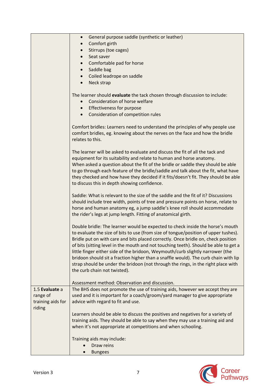|                   | General purpose saddle (synthetic or leather)<br>$\bullet$                           |
|-------------------|--------------------------------------------------------------------------------------|
|                   | Comfort girth<br>$\bullet$                                                           |
|                   | Stirrups (toe cages)                                                                 |
|                   | Seat saver                                                                           |
|                   | Comfortable pad for horse                                                            |
|                   |                                                                                      |
|                   | Saddle bag                                                                           |
|                   | Coiled leadrope on saddle<br>$\bullet$                                               |
|                   | Neck strap                                                                           |
|                   |                                                                                      |
|                   | The learner should evaluate the tack chosen through discussion to include:           |
|                   | <b>Consideration of horse welfare</b>                                                |
|                   | <b>Effectiveness for purpose</b><br>$\bullet$                                        |
|                   | Consideration of competition rules<br>$\bullet$                                      |
|                   |                                                                                      |
|                   | Comfort bridles: Learners need to understand the principles of why people use        |
|                   | comfort bridles, eg. knowing about the nerves on the face and how the bridle         |
|                   | relates to this.                                                                     |
|                   |                                                                                      |
|                   | The learner will be asked to evaluate and discuss the fit of all the tack and        |
|                   | equipment for its suitability and relate to human and horse anatomy.                 |
|                   | When asked a question about the fit of the bridle or saddle they should be able      |
|                   | to go through each feature of the bridle/saddle and talk about the fit, what have    |
|                   | they checked and how have they decided if it fits/doesn't fit. They should be able   |
|                   | to discuss this in depth showing confidence.                                         |
|                   |                                                                                      |
|                   | Saddle: What is relevant to the size of the saddle and the fit of it? Discussions    |
|                   | should include tree width, points of tree and pressure points on horse, relate to    |
|                   | horse and human anatomy eg, a jump saddle's knee roll should accommodate             |
|                   | the rider's legs at jump length. Fitting of anatomical girth.                        |
|                   |                                                                                      |
|                   | Double bridle: The learner would be expected to check inside the horse's mouth       |
|                   | to evaluate the size of bits to use (from size of tongue/position of upper tushes).  |
|                   | Bridle put on with care and bits placed correctly. Once bridle on, check position    |
|                   | of bits (sitting level in the mouth and not touching teeth). Should be able to get a |
|                   | little finger either side of the bridoon, Weymouth/curb slightly narrower (the       |
|                   | bridoon should sit a fraction higher than a snaffle would). The curb chain with lip  |
|                   | strap should be under the bridoon (not through the rings, in the right place with    |
|                   | the curb chain not twisted).                                                         |
|                   |                                                                                      |
|                   | Assessment method: Observation and discussion.                                       |
| 1.5 Evaluate a    | The BHS does not promote the use of training aids, however we accept they are        |
| range of          | used and it is important for a coach/groom/yard manager to give appropriate          |
| training aids for | advice with regard to fit and use.                                                   |
| riding            |                                                                                      |
|                   | Learners should be able to discuss the positives and negatives for a variety of      |
|                   |                                                                                      |
|                   | training aids. They should be able to say when they may use a training aid and       |
|                   | when it's not appropriate at competitions and when schooling.                        |
|                   | Training aids may include:                                                           |
|                   | Draw reins                                                                           |
|                   | <b>Bungees</b>                                                                       |
|                   |                                                                                      |

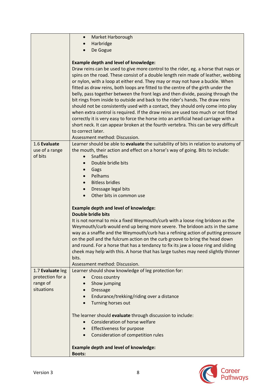|                  | Market Harborough<br>$\bullet$                                                       |
|------------------|--------------------------------------------------------------------------------------|
|                  | Harbridge                                                                            |
|                  | De Gogue                                                                             |
|                  |                                                                                      |
|                  | <b>Example depth and level of knowledge:</b>                                         |
|                  | Draw reins can be used to give more control to the rider, eg. a horse that naps or   |
|                  | spins on the road. These consist of a double length rein made of leather, webbing    |
|                  | or nylon, with a loop at either end. They may or may not have a buckle. When         |
|                  | fitted as draw reins, both loops are fitted to the centre of the girth under the     |
|                  | belly, pass together between the front legs and then divide, passing through the     |
|                  | bit rings from inside to outside and back to the rider's hands. The draw reins       |
|                  | should not be consistently used with a contact, they should only come into play      |
|                  | when extra control is required. If the draw reins are used too much or not fitted    |
|                  | correctly it is very easy to force the horse into an artificial head carriage with a |
|                  | short neck. It can appear broken at the fourth vertebra. This can be very difficult  |
|                  | to correct later.                                                                    |
|                  | Assessment method: Discussion.                                                       |
| 1.6 Evaluate     | Learner should be able to evaluate the suitability of bits in relation to anatomy of |
| use of a range   | the mouth, their action and effect on a horse's way of going. Bits to include:       |
| of bits          | <b>Snaffles</b>                                                                      |
|                  | Double bridle bits                                                                   |
|                  | Gags                                                                                 |
|                  | Pelhams                                                                              |
|                  | <b>Bitless bridles</b><br>$\bullet$                                                  |
|                  | Dressage legal bits<br>$\bullet$                                                     |
|                  | Other bits in common use<br>$\bullet$                                                |
|                  |                                                                                      |
|                  | <b>Example depth and level of knowledge:</b><br><b>Double bridle bits</b>            |
|                  | It is not normal to mix a fixed Weymouth/curb with a loose ring bridoon as the       |
|                  | Weymouth/curb would end up being more severe. The bridoon acts in the same           |
|                  | way as a snaffle and the Weymouth/curb has a refining action of putting pressure     |
|                  | on the poll and the fulcrum action on the curb groove to bring the head down         |
|                  | and round. For a horse that has a tendancy to fix its jaw a loose ring and sliding   |
|                  | cheek may help with this. A horse that has large tushes may need slightly thinner    |
|                  | bits.                                                                                |
|                  | Assessment method: Discussion.                                                       |
| 1.7 Evaluate leg | Learner should show knowledge of leg protection for:                                 |
| protection for a | <b>Cross country</b>                                                                 |
| range of         | Show jumping                                                                         |
| situations       | <b>Dressage</b>                                                                      |
|                  | Endurance/trekking/riding over a distance                                            |
|                  | Turning horses out                                                                   |
|                  |                                                                                      |
|                  | The learner should evaluate through discussion to include:                           |
|                  | Consideration of horse welfare                                                       |
|                  | <b>Effectiveness for purpose</b><br>$\bullet$                                        |
|                  | Consideration of competition rules<br>$\bullet$                                      |
|                  | <b>Example depth and level of knowledge:</b>                                         |
|                  | <b>Boots:</b>                                                                        |

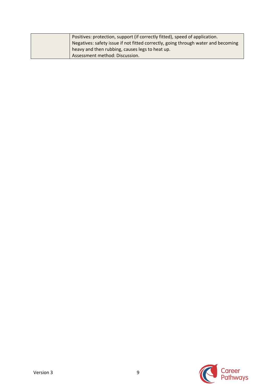| Positives: protection, support (if correctly fitted), speed of application.       |
|-----------------------------------------------------------------------------------|
| Negatives: safety issue if not fitted correctly, going through water and becoming |
| heavy and then rubbing, causes legs to heat up.                                   |
| Assessment method: Discussion.                                                    |

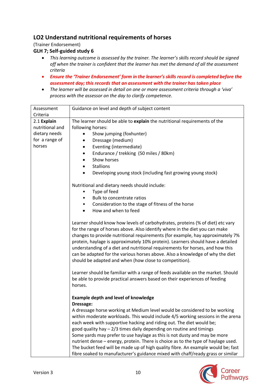# **LO2 Understand nutritional requirements of horses**

(Trainer Endorsement)

## **GLH 7; Self-guided study 6**

- *This learning outcome is assessed by the trainer. The learner's skills record should be signed off when the trainer is confident that the learner has met the demand of all the assessment criteria*
- *Ensure the 'Trainer Endorsement' form in the learner's skills record is completed before the assessment day; this records that an assessment with the trainer has taken place*
- *The learner will be assessed in detail on one or more assessment criteria through a 'viva' process with the assessor on the day to clarify competence.*

| Assessment<br>Criteria | Guidance on level and depth of subject content                                                                                                                                                                                                                                                                                                                                                                                                                                                                                                                                                                                                                                                                                              |  |  |
|------------------------|---------------------------------------------------------------------------------------------------------------------------------------------------------------------------------------------------------------------------------------------------------------------------------------------------------------------------------------------------------------------------------------------------------------------------------------------------------------------------------------------------------------------------------------------------------------------------------------------------------------------------------------------------------------------------------------------------------------------------------------------|--|--|
|                        |                                                                                                                                                                                                                                                                                                                                                                                                                                                                                                                                                                                                                                                                                                                                             |  |  |
| 2.1 Explain            | The learner should be able to explain the nutritional requirements of the                                                                                                                                                                                                                                                                                                                                                                                                                                                                                                                                                                                                                                                                   |  |  |
| nutritional and        | following horses:                                                                                                                                                                                                                                                                                                                                                                                                                                                                                                                                                                                                                                                                                                                           |  |  |
| dietary needs          | Show jumping (foxhunter)                                                                                                                                                                                                                                                                                                                                                                                                                                                                                                                                                                                                                                                                                                                    |  |  |
| for a range of         | Dressage (medium)                                                                                                                                                                                                                                                                                                                                                                                                                                                                                                                                                                                                                                                                                                                           |  |  |
| horses                 | Eventing (intermediate)                                                                                                                                                                                                                                                                                                                                                                                                                                                                                                                                                                                                                                                                                                                     |  |  |
|                        | Endurance / trekking (50 miles / 80km)<br>$\bullet$                                                                                                                                                                                                                                                                                                                                                                                                                                                                                                                                                                                                                                                                                         |  |  |
|                        | Show horses                                                                                                                                                                                                                                                                                                                                                                                                                                                                                                                                                                                                                                                                                                                                 |  |  |
|                        | <b>Stallions</b><br>$\bullet$                                                                                                                                                                                                                                                                                                                                                                                                                                                                                                                                                                                                                                                                                                               |  |  |
|                        | Developing young stock (including fast growing young stock)<br>$\bullet$                                                                                                                                                                                                                                                                                                                                                                                                                                                                                                                                                                                                                                                                    |  |  |
|                        | Nutritional and dietary needs should include:                                                                                                                                                                                                                                                                                                                                                                                                                                                                                                                                                                                                                                                                                               |  |  |
|                        | Type of feed                                                                                                                                                                                                                                                                                                                                                                                                                                                                                                                                                                                                                                                                                                                                |  |  |
|                        | Bulk to concentrate ratios<br>$\bullet$                                                                                                                                                                                                                                                                                                                                                                                                                                                                                                                                                                                                                                                                                                     |  |  |
|                        | Consideration to the stage of fitness of the horse<br>$\bullet$                                                                                                                                                                                                                                                                                                                                                                                                                                                                                                                                                                                                                                                                             |  |  |
|                        | How and when to feed                                                                                                                                                                                                                                                                                                                                                                                                                                                                                                                                                                                                                                                                                                                        |  |  |
|                        | Learner should know how levels of carbohydrates, proteins (% of diet) etc vary<br>for the range of horses above. Also identify where in the diet you can make<br>changes to provide nutritional requirements (for example, hay approximately 7%<br>protein, haylage is approximately 10% protein). Learners should have a detailed<br>understanding of a diet and nutritional requirements for horses, and how this<br>can be adapted for the various horses above. Also a knowledge of why the diet<br>should be adapted and when (how close to competition).<br>Learner should be familiar with a range of feeds available on the market. Should<br>be able to provide practical answers based on their experiences of feeding<br>horses. |  |  |
|                        | <b>Example depth and level of knowledge</b><br>Dressage:<br>A dressage horse working at Medium level would be considered to be working<br>within moderate workloads. This would include 4/5 working sessions in the arena<br>each week with supportive hacking and riding out. The diet would be;<br>good quality hay $-2/3$ times daily depending on routine and timings<br>Some yards may prefer to use haylage as this is not dusty and may be more<br>nutrient dense - energy, protein. There is choice as to the type of haylage used.<br>The bucket feed will be made up of high quality fibre. An example would be; fast<br>fibre soaked to manufacturer's guidance mixed with chaff/ready grass or similar                          |  |  |

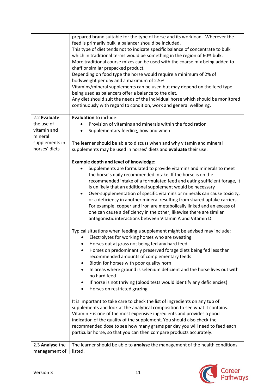|                                 | prepared brand suitable for the type of horse and its workload. Wherever the<br>feed is primarily bulk, a balancer should be included.<br>This type of diet tends not to indicate specific balance of concentrate to bulk<br>which in traditional terms would be something in the region of 60% bulk.<br>More traditional course mixes can be used with the coarse mix being added to<br>chaff or similar prepacked product.<br>Depending on food type the horse would require a minimum of 2% of<br>bodyweight per day and a maximum of 2.5%<br>Vitamins/mineral supplements can be used but may depend on the feed type<br>being used as balancers offer a balance to the diet.<br>Any diet should suit the needs of the individual horse which should be monitored<br>continuously with regard to condition, work and general wellbeing. |
|---------------------------------|---------------------------------------------------------------------------------------------------------------------------------------------------------------------------------------------------------------------------------------------------------------------------------------------------------------------------------------------------------------------------------------------------------------------------------------------------------------------------------------------------------------------------------------------------------------------------------------------------------------------------------------------------------------------------------------------------------------------------------------------------------------------------------------------------------------------------------------------|
| 2.2 Evaluate                    | Evaluation to include:                                                                                                                                                                                                                                                                                                                                                                                                                                                                                                                                                                                                                                                                                                                                                                                                                      |
| the use of                      | Provision of vitamins and minerals within the food ration                                                                                                                                                                                                                                                                                                                                                                                                                                                                                                                                                                                                                                                                                                                                                                                   |
| vitamin and                     | Supplementary feeding, how and when                                                                                                                                                                                                                                                                                                                                                                                                                                                                                                                                                                                                                                                                                                                                                                                                         |
| mineral                         |                                                                                                                                                                                                                                                                                                                                                                                                                                                                                                                                                                                                                                                                                                                                                                                                                                             |
| supplements in<br>horses' diets | The learner should be able to discuss when and why vitamin and mineral                                                                                                                                                                                                                                                                                                                                                                                                                                                                                                                                                                                                                                                                                                                                                                      |
|                                 | supplements may be used in horses' diets and evaluate their use.                                                                                                                                                                                                                                                                                                                                                                                                                                                                                                                                                                                                                                                                                                                                                                            |
|                                 |                                                                                                                                                                                                                                                                                                                                                                                                                                                                                                                                                                                                                                                                                                                                                                                                                                             |
|                                 | <b>Example depth and level of knowledge:</b>                                                                                                                                                                                                                                                                                                                                                                                                                                                                                                                                                                                                                                                                                                                                                                                                |
|                                 | Supplements are formulated to provide vitamins and minerals to meet<br>the horse's daily recommended intake. If the horse is on the                                                                                                                                                                                                                                                                                                                                                                                                                                                                                                                                                                                                                                                                                                         |
|                                 | recommended intake of a formulated feed and eating sufficient forage, it                                                                                                                                                                                                                                                                                                                                                                                                                                                                                                                                                                                                                                                                                                                                                                    |
|                                 | is unlikely that an additional supplement would be necessary                                                                                                                                                                                                                                                                                                                                                                                                                                                                                                                                                                                                                                                                                                                                                                                |
|                                 | Over-supplementation of specific vitamins or minerals can cause toxicity,<br>$\bullet$                                                                                                                                                                                                                                                                                                                                                                                                                                                                                                                                                                                                                                                                                                                                                      |
|                                 | or a deficiency in another mineral resulting from shared uptake carriers.                                                                                                                                                                                                                                                                                                                                                                                                                                                                                                                                                                                                                                                                                                                                                                   |
|                                 | For example, copper and iron are metabolically linked and an excess of                                                                                                                                                                                                                                                                                                                                                                                                                                                                                                                                                                                                                                                                                                                                                                      |
|                                 | one can cause a deficiency in the other; likewise there are similar                                                                                                                                                                                                                                                                                                                                                                                                                                                                                                                                                                                                                                                                                                                                                                         |
|                                 | antagonistic interactions between Vitamin A and Vitamin D.                                                                                                                                                                                                                                                                                                                                                                                                                                                                                                                                                                                                                                                                                                                                                                                  |
|                                 |                                                                                                                                                                                                                                                                                                                                                                                                                                                                                                                                                                                                                                                                                                                                                                                                                                             |
|                                 | Typical situations when feeding a supplement might be advised may include:                                                                                                                                                                                                                                                                                                                                                                                                                                                                                                                                                                                                                                                                                                                                                                  |
|                                 | Electrolytes for working horses who are sweating                                                                                                                                                                                                                                                                                                                                                                                                                                                                                                                                                                                                                                                                                                                                                                                            |
|                                 | Horses out at grass not being fed any hard feed                                                                                                                                                                                                                                                                                                                                                                                                                                                                                                                                                                                                                                                                                                                                                                                             |
|                                 | Horses on predominantly preserved forage diets being fed less than                                                                                                                                                                                                                                                                                                                                                                                                                                                                                                                                                                                                                                                                                                                                                                          |
|                                 | recommended amounts of complementary feeds                                                                                                                                                                                                                                                                                                                                                                                                                                                                                                                                                                                                                                                                                                                                                                                                  |
|                                 | Biotin for horses with poor quality horn<br>٠                                                                                                                                                                                                                                                                                                                                                                                                                                                                                                                                                                                                                                                                                                                                                                                               |
|                                 | In areas where ground is selenium deficient and the horse lives out with<br>٠                                                                                                                                                                                                                                                                                                                                                                                                                                                                                                                                                                                                                                                                                                                                                               |
|                                 | no hard feed                                                                                                                                                                                                                                                                                                                                                                                                                                                                                                                                                                                                                                                                                                                                                                                                                                |
|                                 | If horse is not thriving (blood tests would identify any deficiencies)                                                                                                                                                                                                                                                                                                                                                                                                                                                                                                                                                                                                                                                                                                                                                                      |
|                                 | Horses on restricted grazing.                                                                                                                                                                                                                                                                                                                                                                                                                                                                                                                                                                                                                                                                                                                                                                                                               |
|                                 |                                                                                                                                                                                                                                                                                                                                                                                                                                                                                                                                                                                                                                                                                                                                                                                                                                             |
|                                 | It is important to take care to check the list of ingredients on any tub of                                                                                                                                                                                                                                                                                                                                                                                                                                                                                                                                                                                                                                                                                                                                                                 |
|                                 | supplements and look at the analytical composition to see what it contains.                                                                                                                                                                                                                                                                                                                                                                                                                                                                                                                                                                                                                                                                                                                                                                 |
|                                 | Vitamin E is one of the most expensive ingredients and provides a good                                                                                                                                                                                                                                                                                                                                                                                                                                                                                                                                                                                                                                                                                                                                                                      |
|                                 | indication of the quality of the supplement. You should also check the                                                                                                                                                                                                                                                                                                                                                                                                                                                                                                                                                                                                                                                                                                                                                                      |
|                                 | recommended dose to see how many grams per day you will need to feed each                                                                                                                                                                                                                                                                                                                                                                                                                                                                                                                                                                                                                                                                                                                                                                   |
|                                 | particular horse, so that you can then compare products accurately.                                                                                                                                                                                                                                                                                                                                                                                                                                                                                                                                                                                                                                                                                                                                                                         |
|                                 |                                                                                                                                                                                                                                                                                                                                                                                                                                                                                                                                                                                                                                                                                                                                                                                                                                             |
| 2.3 Analyse the                 | The learner should be able to analyse the management of the health conditions                                                                                                                                                                                                                                                                                                                                                                                                                                                                                                                                                                                                                                                                                                                                                               |
| management of                   | listed.                                                                                                                                                                                                                                                                                                                                                                                                                                                                                                                                                                                                                                                                                                                                                                                                                                     |

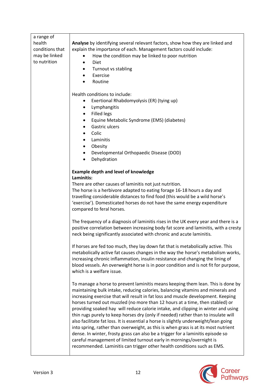| a range of      |                                                                                      |
|-----------------|--------------------------------------------------------------------------------------|
| health          | Analyse by identifying several relevant factors, show how they are linked and        |
| conditions that | explain the importance of each. Management factors could include:                    |
| may be linked   | How the condition may be linked to poor nutrition                                    |
| to nutrition    | Diet<br>٠                                                                            |
|                 | Turnout vs stabling<br>٠                                                             |
|                 | Exercise                                                                             |
|                 | Routine                                                                              |
|                 |                                                                                      |
|                 | Health conditions to include:                                                        |
|                 | Exertional Rhabdomyolysis (ER) (tying up)<br>٠                                       |
|                 | Lymphangitis<br>٠                                                                    |
|                 | Filled legs<br>$\bullet$                                                             |
|                 |                                                                                      |
|                 | Equine Metabolic Syndrome (EMS) (diabetes)<br>٠                                      |
|                 | Gastric ulcers                                                                       |
|                 | Colic<br>$\bullet$                                                                   |
|                 | Laminitis<br>$\bullet$                                                               |
|                 | Obesity<br>$\bullet$                                                                 |
|                 | Developmental Orthopaedic Disease (DOD)<br>$\bullet$                                 |
|                 | Dehydration<br>$\bullet$                                                             |
|                 |                                                                                      |
|                 | <b>Example depth and level of knowledge</b>                                          |
|                 | Laminitis:                                                                           |
|                 | There are other causes of laminitis not just nutrition.                              |
|                 | The horse is a herbivore adapted to eating forage 16-18 hours a day and              |
|                 | travelling considerable distances to find food (this would be a wild horse's         |
|                 | 'exercise'). Domesticated horses do not have the same energy expenditure             |
|                 | compared to feral horses.                                                            |
|                 |                                                                                      |
|                 | The frequency of a diagnosis of laminitis rises in the UK every year and there is a  |
|                 | positive correlation between increasing body fat score and laminitis, with a cresty  |
|                 | neck being significantly associated with chronic and acute laminitis.                |
|                 |                                                                                      |
|                 | If horses are fed too much, they lay down fat that is metabolically active. This     |
|                 | metabolically active fat causes changes in the way the horse's metabolism works,     |
|                 | increasing chronic inflammation, insulin resistance and changing the lining of       |
|                 | blood vessels. An overweight horse is in poor condition and is not fit for purpose,  |
|                 | which is a welfare issue.                                                            |
|                 |                                                                                      |
|                 | To manage a horse to prevent laminitis means keeping them lean. This is done by      |
|                 | maintaining bulk intake, reducing calories, balancing vitamins and minerals and      |
|                 | increasing exercise that will result in fat loss and muscle development. Keeping     |
|                 | horses turned out muzzled (no more than 12 hours at a time, then stabled) or         |
|                 | providing soaked hay will reduce calorie intake, and clipping in winter and using    |
|                 | thin rugs purely to keep horses dry (only if needed) rather than to insulate will    |
|                 | also facilitate fat loss. It is essential a horse is slightly underweight/lean going |
|                 | into spring, rather than overweight, as this is when grass is at its most nutrient   |
|                 | dense. In winter, frosty grass can also be a trigger for a laminitis episode so      |
|                 | careful management of limited turnout early in mornings/overnight is                 |
|                 | recommended. Laminitis can trigger other health conditions such as EMS.              |

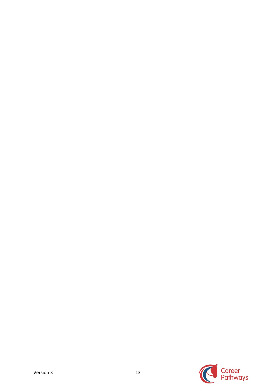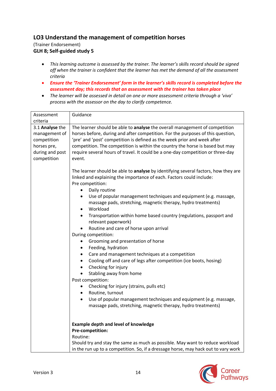# **LO3 Understand the management of competition horses**

(Trainer Endorsement) **GLH 8; Self-guided study 5**

- *This learning outcome is assessed by the trainer. The learner's skills record should be signed off when the trainer is confident that the learner has met the demand of all the assessment criteria*
- *Ensure the 'Trainer Endorsement' form in the learner's skills record is completed before the assessment day; this records that an assessment with the trainer has taken place*
- *The learner will be assessed in detail on one or more assessment criteria through a 'viva' process with the assessor on the day to clarify competence.*

| Assessment                                                                                       | Guidance                                                                                                                                                                                                                                                                                                                                                                                                                                                                                                                                                                                                                                                                                                                                                                                                                                                                                                                                                                                                   |
|--------------------------------------------------------------------------------------------------|------------------------------------------------------------------------------------------------------------------------------------------------------------------------------------------------------------------------------------------------------------------------------------------------------------------------------------------------------------------------------------------------------------------------------------------------------------------------------------------------------------------------------------------------------------------------------------------------------------------------------------------------------------------------------------------------------------------------------------------------------------------------------------------------------------------------------------------------------------------------------------------------------------------------------------------------------------------------------------------------------------|
| criteria                                                                                         |                                                                                                                                                                                                                                                                                                                                                                                                                                                                                                                                                                                                                                                                                                                                                                                                                                                                                                                                                                                                            |
| 3.1 Analyse the<br>management of<br>competition<br>horses pre,<br>during and post<br>competition | The learner should be able to analyse the overall management of competition<br>horses before, during and after competition. For the purposes of this question,<br>'pre' and 'post' competition is defined as the week prior and week after<br>competition. The competition is within the country the horse is based but may<br>require several hours of travel. It could be a one-day competition or three-day<br>event.                                                                                                                                                                                                                                                                                                                                                                                                                                                                                                                                                                                   |
|                                                                                                  | The learner should be able to analyse by identifying several factors, how they are<br>linked and explaining the importance of each. Factors could include:<br>Pre competition:<br>Daily routine<br>$\bullet$<br>Use of popular management techniques and equipment (e.g. massage,<br>$\bullet$<br>massage pads, stretching, magnetic therapy, hydro treatments)<br>Workload<br>$\bullet$<br>Transportation within home based country (regulations, passport and<br>$\bullet$<br>relevant paperwork)<br>Routine and care of horse upon arrival<br>$\bullet$<br>During competition:<br>Grooming and presentation of horse<br>$\bullet$<br>Feeding, hydration<br>$\bullet$<br>Care and management techniques at a competition<br>$\bullet$<br>Cooling off and care of legs after competition (ice boots, hosing)<br>$\bullet$<br>• Checking for injury<br>Stabling away from home<br>$\bullet$<br>Post competition:<br>Checking for injury (strains, pulls etc)<br>$\bullet$<br>Routine, turnout<br>$\bullet$ |
|                                                                                                  | Use of popular management techniques and equipment (e.g. massage,<br>$\bullet$<br>massage pads, stretching, magnetic therapy, hydro treatments)<br><b>Example depth and level of knowledge</b><br>Pre-competition:<br>Routine:<br>Should try and stay the same as much as possible. May want to reduce workload                                                                                                                                                                                                                                                                                                                                                                                                                                                                                                                                                                                                                                                                                            |
|                                                                                                  | in the run up to a competition. So, if a dressage horse, may hack out to vary work                                                                                                                                                                                                                                                                                                                                                                                                                                                                                                                                                                                                                                                                                                                                                                                                                                                                                                                         |

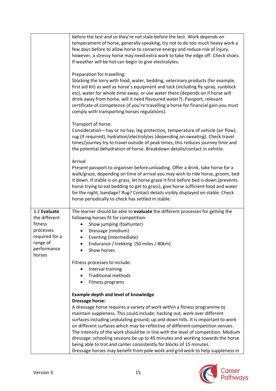|                                                                                                              | before the test and so they're not stale before the test. Work depends on<br>temperament of horse, generally speaking, try not to do too much heavy work a<br>few days before to allow horse to conserve energy and reduce risk of injury,<br>however, a stressy horse may need extra work to take the edge off. Check shoes.<br>If weather will be hot can begin to give electrolytes.<br>Preparation for travelling:<br>Stocking the lorry with food, water, bedding, veterinary products (for example,<br>first aid kit) as well as horse's equipment and tack (including fly spray, sunblock<br>etc), water for whole time away, or use water there (depends on if horse will<br>drink away from home, will it need flavoured water?). Passport, relevant<br>certificate of competence (if you're travelling a horse for financial gain you must<br>comply with transporting horses regulations). |
|--------------------------------------------------------------------------------------------------------------|-------------------------------------------------------------------------------------------------------------------------------------------------------------------------------------------------------------------------------------------------------------------------------------------------------------------------------------------------------------------------------------------------------------------------------------------------------------------------------------------------------------------------------------------------------------------------------------------------------------------------------------------------------------------------------------------------------------------------------------------------------------------------------------------------------------------------------------------------------------------------------------------------------|
|                                                                                                              | Transport of horse:<br>Consideration - hay or no hay, leg protection, temperature of vehicle (air flow),<br>rug (if required), hydration/electrolytes (depending on sweating). Check travel<br>times/journey try to travel outside of peak times, this reduces journey time and<br>the potential dehydration of horse. Breakdown details/contact in vehicle.                                                                                                                                                                                                                                                                                                                                                                                                                                                                                                                                          |
|                                                                                                              | Arrival<br>Present passport to organiser before unloading. Offer a drink, take horse for a<br>walk/graze, depending on time of arrival you may wish to ride horse, groom, bed<br>it down. If stable is on grass, let horse graze it first before bed is down (prevents<br>horse trying to eat bedding to get to grass), give horse sufficient food and water<br>for the night, bandage? Rug? Contact details visibly displayed on stable. Check<br>horse periodically to check has settled in stable.                                                                                                                                                                                                                                                                                                                                                                                                 |
| 3.2 Evaluate<br>the different<br>fitness<br>processes<br>required for a<br>range of<br>performance<br>horses | The learner should be able to evaluate the different processes for getting the<br>following horses fit for competition:<br>Show jumping (foxhunter)<br>Dressage (medium)<br>Eventing (intermediate)<br>$\bullet$<br>Endurance / trekking (50 miles / 80km)<br>Show horses<br>Fitness processes to include:<br>Interval training<br><b>Traditional methods</b><br>Fitness programs                                                                                                                                                                                                                                                                                                                                                                                                                                                                                                                     |
|                                                                                                              | <b>Example depth and level of knowledge</b><br><b>Dressage horse:</b><br>A dressage horse requires a variety of work within a fitness programme to<br>maintain suppleness. This could include; hacking out, work over different<br>surfaces including undulating ground, up and down hills. It is important to work<br>on different surfaces which may be reflective of different competition venues.<br>The intensity of the work should be in line with the level of competition. Medium<br>dressage: schooling sessions be up to 45 minutes and working towards the horse<br>being able to trot and canter consistently for blocks of 15 minutes.<br>Dressage horses may benefit from pole work and grid work to help suppleness in                                                                                                                                                                |

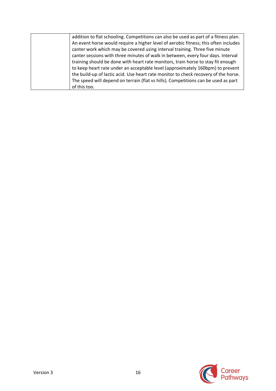| addition to flat schooling. Competitions can also be used as part of a fitness plan. |
|--------------------------------------------------------------------------------------|
| An event horse would require a higher level of aerobic fitness; this often includes  |
| canter work which may be covered using interval training. Three five minute          |
| canter sessions with three minutes of walk in between, every four days. Interval     |
| training should be done with heart rate monitors, train horse to stay fit enough     |
| to keep heart rate under an acceptable level (approximately 160bpm) to prevent       |
| the build-up of lactic acid. Use heart rate monitor to check recovery of the horse.  |
| The speed will depend on terrain (flat vs hills). Competitions can be used as part   |
| of this too.                                                                         |

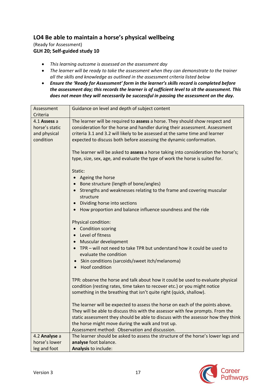# **LO4 Be able to maintain a horse's physical wellbeing**

(Ready for Assessment) **GLH 20; Self-guided study 10**

- *This learning outcome is assessed on the assessment day*
- *The learner will be ready to take the assessment when they can demonstrate to the trainer all the skills and knowledge as outlined in the assessment criteria listed below*
- *Ensure the 'Ready for Assessment' form in the learner's skills record is completed before the assessment day; this records the learner is of sufficient level to sit the assessment. This does not mean they will necessarily be successful in passing the assessment on the day.*

| Assessment<br>Criteria                                      | Guidance on level and depth of subject content                                                                                                                                                                                                                                                                                                              |
|-------------------------------------------------------------|-------------------------------------------------------------------------------------------------------------------------------------------------------------------------------------------------------------------------------------------------------------------------------------------------------------------------------------------------------------|
| 4.1 Assess a<br>horse's static<br>and physical<br>condition | The learner will be required to assess a horse. They should show respect and<br>consideration for the horse and handler during their assessment. Assessment<br>criteria 3.1 and 3.2 will likely to be assessed at the same time and learner<br>expected to discuss both before assessing the dynamic conformation.                                          |
|                                                             | The learner will be asked to assess a horse taking into consideration the horse's;<br>type, size, sex, age, and evaluate the type of work the horse is suited for.                                                                                                                                                                                          |
|                                                             | Static:<br>Ageing the horse<br>$\bullet$<br>Bone structure (length of bone/angles)<br>Strengths and weaknesses relating to the frame and covering muscular<br>structure<br>Dividing horse into sections<br>$\bullet$<br>How proportion and balance influence soundness and the ride                                                                         |
|                                                             | Physical condition:<br><b>Condition scoring</b><br>Level of fitness<br>Muscular development<br>$\bullet$<br>TPR - will not need to take TPR but understand how it could be used to<br>evaluate the condition<br>Skin conditions (sarcoids/sweet itch/melanoma)<br>$\bullet$<br>Hoof condition<br>$\bullet$                                                  |
|                                                             | TPR: observe the horse and talk about how it could be used to evaluate physical<br>condition (resting rates, time taken to recover etc.) or you might notice<br>something in the breathing that isn't quite right (quick, shallow).                                                                                                                         |
|                                                             | The learner will be expected to assess the horse on each of the points above.<br>Thev will be able to discuss this with the assessor with few prompts. From the<br>static assessment they should be able to discuss with the assessor how they think<br>the horse might move during the walk and trot up.<br>Assessment method: Observation and discussion. |
| 4.2 Analyse a                                               | The learner should be asked to assess the structure of the horse's lower legs and                                                                                                                                                                                                                                                                           |
| horse's lower                                               | analyse foot balance.                                                                                                                                                                                                                                                                                                                                       |
| leg and foot                                                | Analysis to include:                                                                                                                                                                                                                                                                                                                                        |

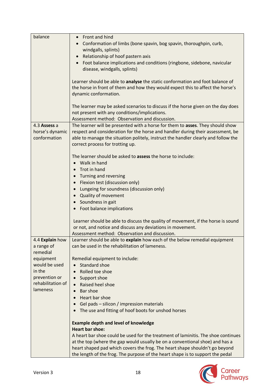| Conformation of limbs (bone spavin, bog spavin, thoroughpin, curb,<br>windgalls, splints)<br>Relationship of hoof pastern axis<br>Foot balance implications and conditions (ringbone, sidebone, navicular<br>disease, windgalls, splints)<br>Learner should be able to analyse the static conformation and foot balance of<br>the horse in front of them and how they would expect this to affect the horse's<br>dynamic conformation.<br>The learner may be asked scenarios to discuss if the horse given on the day does<br>not present with any conditions/implications.<br>Assessment method: Observation and discussion.<br>The learner will be presented with a horse for them to asses. They should show<br>4.3 Assess a<br>horse's dynamic<br>respect and consideration for the horse and handler during their assessment, be<br>conformation<br>able to manage the situation politely, instruct the handler clearly and follow the<br>correct process for trotting up.<br>The learner should be asked to assess the horse to include:<br>Walk in hand<br>$\bullet$ |
|-----------------------------------------------------------------------------------------------------------------------------------------------------------------------------------------------------------------------------------------------------------------------------------------------------------------------------------------------------------------------------------------------------------------------------------------------------------------------------------------------------------------------------------------------------------------------------------------------------------------------------------------------------------------------------------------------------------------------------------------------------------------------------------------------------------------------------------------------------------------------------------------------------------------------------------------------------------------------------------------------------------------------------------------------------------------------------|
|                                                                                                                                                                                                                                                                                                                                                                                                                                                                                                                                                                                                                                                                                                                                                                                                                                                                                                                                                                                                                                                                             |
|                                                                                                                                                                                                                                                                                                                                                                                                                                                                                                                                                                                                                                                                                                                                                                                                                                                                                                                                                                                                                                                                             |
|                                                                                                                                                                                                                                                                                                                                                                                                                                                                                                                                                                                                                                                                                                                                                                                                                                                                                                                                                                                                                                                                             |
|                                                                                                                                                                                                                                                                                                                                                                                                                                                                                                                                                                                                                                                                                                                                                                                                                                                                                                                                                                                                                                                                             |
|                                                                                                                                                                                                                                                                                                                                                                                                                                                                                                                                                                                                                                                                                                                                                                                                                                                                                                                                                                                                                                                                             |
|                                                                                                                                                                                                                                                                                                                                                                                                                                                                                                                                                                                                                                                                                                                                                                                                                                                                                                                                                                                                                                                                             |
|                                                                                                                                                                                                                                                                                                                                                                                                                                                                                                                                                                                                                                                                                                                                                                                                                                                                                                                                                                                                                                                                             |
|                                                                                                                                                                                                                                                                                                                                                                                                                                                                                                                                                                                                                                                                                                                                                                                                                                                                                                                                                                                                                                                                             |
|                                                                                                                                                                                                                                                                                                                                                                                                                                                                                                                                                                                                                                                                                                                                                                                                                                                                                                                                                                                                                                                                             |
|                                                                                                                                                                                                                                                                                                                                                                                                                                                                                                                                                                                                                                                                                                                                                                                                                                                                                                                                                                                                                                                                             |
|                                                                                                                                                                                                                                                                                                                                                                                                                                                                                                                                                                                                                                                                                                                                                                                                                                                                                                                                                                                                                                                                             |
|                                                                                                                                                                                                                                                                                                                                                                                                                                                                                                                                                                                                                                                                                                                                                                                                                                                                                                                                                                                                                                                                             |
|                                                                                                                                                                                                                                                                                                                                                                                                                                                                                                                                                                                                                                                                                                                                                                                                                                                                                                                                                                                                                                                                             |
|                                                                                                                                                                                                                                                                                                                                                                                                                                                                                                                                                                                                                                                                                                                                                                                                                                                                                                                                                                                                                                                                             |
|                                                                                                                                                                                                                                                                                                                                                                                                                                                                                                                                                                                                                                                                                                                                                                                                                                                                                                                                                                                                                                                                             |
|                                                                                                                                                                                                                                                                                                                                                                                                                                                                                                                                                                                                                                                                                                                                                                                                                                                                                                                                                                                                                                                                             |
|                                                                                                                                                                                                                                                                                                                                                                                                                                                                                                                                                                                                                                                                                                                                                                                                                                                                                                                                                                                                                                                                             |
|                                                                                                                                                                                                                                                                                                                                                                                                                                                                                                                                                                                                                                                                                                                                                                                                                                                                                                                                                                                                                                                                             |
|                                                                                                                                                                                                                                                                                                                                                                                                                                                                                                                                                                                                                                                                                                                                                                                                                                                                                                                                                                                                                                                                             |
|                                                                                                                                                                                                                                                                                                                                                                                                                                                                                                                                                                                                                                                                                                                                                                                                                                                                                                                                                                                                                                                                             |
| Trot in hand                                                                                                                                                                                                                                                                                                                                                                                                                                                                                                                                                                                                                                                                                                                                                                                                                                                                                                                                                                                                                                                                |
| Turning and reversing                                                                                                                                                                                                                                                                                                                                                                                                                                                                                                                                                                                                                                                                                                                                                                                                                                                                                                                                                                                                                                                       |
| Flexion test (discussion only)<br>$\bullet$                                                                                                                                                                                                                                                                                                                                                                                                                                                                                                                                                                                                                                                                                                                                                                                                                                                                                                                                                                                                                                 |
| Lungeing for soundness (discussion only)                                                                                                                                                                                                                                                                                                                                                                                                                                                                                                                                                                                                                                                                                                                                                                                                                                                                                                                                                                                                                                    |
| <b>Quality of movement</b><br>$\bullet$                                                                                                                                                                                                                                                                                                                                                                                                                                                                                                                                                                                                                                                                                                                                                                                                                                                                                                                                                                                                                                     |
| Soundness in gait<br>$\bullet$                                                                                                                                                                                                                                                                                                                                                                                                                                                                                                                                                                                                                                                                                                                                                                                                                                                                                                                                                                                                                                              |
| Foot balance implications                                                                                                                                                                                                                                                                                                                                                                                                                                                                                                                                                                                                                                                                                                                                                                                                                                                                                                                                                                                                                                                   |
|                                                                                                                                                                                                                                                                                                                                                                                                                                                                                                                                                                                                                                                                                                                                                                                                                                                                                                                                                                                                                                                                             |
| Learner should be able to discuss the quality of movement, if the horse is sound                                                                                                                                                                                                                                                                                                                                                                                                                                                                                                                                                                                                                                                                                                                                                                                                                                                                                                                                                                                            |
| or not, and notice and discuss any deviations in movement.                                                                                                                                                                                                                                                                                                                                                                                                                                                                                                                                                                                                                                                                                                                                                                                                                                                                                                                                                                                                                  |
| Assessment method: Observation and discussion.                                                                                                                                                                                                                                                                                                                                                                                                                                                                                                                                                                                                                                                                                                                                                                                                                                                                                                                                                                                                                              |
| Learner should be able to explain how each of the below remedial equipment<br>4.4 Explain how                                                                                                                                                                                                                                                                                                                                                                                                                                                                                                                                                                                                                                                                                                                                                                                                                                                                                                                                                                               |
| can be used in the rehabilitation of lameness.<br>a range of                                                                                                                                                                                                                                                                                                                                                                                                                                                                                                                                                                                                                                                                                                                                                                                                                                                                                                                                                                                                                |
| remedial                                                                                                                                                                                                                                                                                                                                                                                                                                                                                                                                                                                                                                                                                                                                                                                                                                                                                                                                                                                                                                                                    |
| equipment<br>Remedial equipment to include:                                                                                                                                                                                                                                                                                                                                                                                                                                                                                                                                                                                                                                                                                                                                                                                                                                                                                                                                                                                                                                 |
| would be used<br>Standard shoe                                                                                                                                                                                                                                                                                                                                                                                                                                                                                                                                                                                                                                                                                                                                                                                                                                                                                                                                                                                                                                              |
| in the<br>Rolled toe shoe<br>$\bullet$                                                                                                                                                                                                                                                                                                                                                                                                                                                                                                                                                                                                                                                                                                                                                                                                                                                                                                                                                                                                                                      |
| prevention or<br>Support shoe                                                                                                                                                                                                                                                                                                                                                                                                                                                                                                                                                                                                                                                                                                                                                                                                                                                                                                                                                                                                                                               |
| rehabilitation of<br>Raised heel shoe<br>$\bullet$                                                                                                                                                                                                                                                                                                                                                                                                                                                                                                                                                                                                                                                                                                                                                                                                                                                                                                                                                                                                                          |
| lameness<br>Bar shoe<br>$\bullet$                                                                                                                                                                                                                                                                                                                                                                                                                                                                                                                                                                                                                                                                                                                                                                                                                                                                                                                                                                                                                                           |
| Heart bar shoe                                                                                                                                                                                                                                                                                                                                                                                                                                                                                                                                                                                                                                                                                                                                                                                                                                                                                                                                                                                                                                                              |
| Gel pads - silicon / impression materials                                                                                                                                                                                                                                                                                                                                                                                                                                                                                                                                                                                                                                                                                                                                                                                                                                                                                                                                                                                                                                   |
| The use and fitting of hoof boots for unshod horses                                                                                                                                                                                                                                                                                                                                                                                                                                                                                                                                                                                                                                                                                                                                                                                                                                                                                                                                                                                                                         |
|                                                                                                                                                                                                                                                                                                                                                                                                                                                                                                                                                                                                                                                                                                                                                                                                                                                                                                                                                                                                                                                                             |
| <b>Example depth and level of knowledge</b><br><b>Heart bar shoe:</b>                                                                                                                                                                                                                                                                                                                                                                                                                                                                                                                                                                                                                                                                                                                                                                                                                                                                                                                                                                                                       |
| A heart bar shoe could be used for the treatment of laminitis. The shoe continues                                                                                                                                                                                                                                                                                                                                                                                                                                                                                                                                                                                                                                                                                                                                                                                                                                                                                                                                                                                           |
| at the top (where the gap would usually be on a conventional shoe) and has a                                                                                                                                                                                                                                                                                                                                                                                                                                                                                                                                                                                                                                                                                                                                                                                                                                                                                                                                                                                                |
| heart shaped pad which covers the frog. The heart shape shouldn't go beyond                                                                                                                                                                                                                                                                                                                                                                                                                                                                                                                                                                                                                                                                                                                                                                                                                                                                                                                                                                                                 |
| the length of the frog. The purpose of the heart shape is to support the pedal                                                                                                                                                                                                                                                                                                                                                                                                                                                                                                                                                                                                                                                                                                                                                                                                                                                                                                                                                                                              |

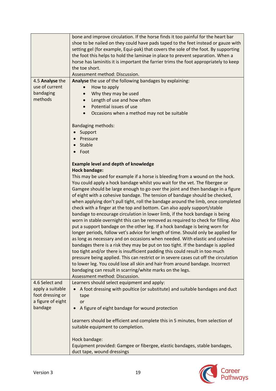|                                                        | bone and improve circulation. If the horse finds it too painful for the heart bar<br>shoe to be nailed on they could have pads taped to the feet instead or gauze with<br>setting gel (for example, Equi-pak) that covers the sole of the foot. By supporting<br>the foot this helps to hold the laminae in place to prevent separation. When a<br>horse has laminitis it is important the farrier trims the foot appropriately to keep                                                                                                                                                                                                                                                                                                                                                                                                                                                                                                                                                                                                                                                                                                                                                                                                             |
|--------------------------------------------------------|-----------------------------------------------------------------------------------------------------------------------------------------------------------------------------------------------------------------------------------------------------------------------------------------------------------------------------------------------------------------------------------------------------------------------------------------------------------------------------------------------------------------------------------------------------------------------------------------------------------------------------------------------------------------------------------------------------------------------------------------------------------------------------------------------------------------------------------------------------------------------------------------------------------------------------------------------------------------------------------------------------------------------------------------------------------------------------------------------------------------------------------------------------------------------------------------------------------------------------------------------------|
|                                                        | the toe short.                                                                                                                                                                                                                                                                                                                                                                                                                                                                                                                                                                                                                                                                                                                                                                                                                                                                                                                                                                                                                                                                                                                                                                                                                                      |
|                                                        | Assessment method: Discussion.                                                                                                                                                                                                                                                                                                                                                                                                                                                                                                                                                                                                                                                                                                                                                                                                                                                                                                                                                                                                                                                                                                                                                                                                                      |
| 4.5 Analyse the<br>use of current                      | Analyse the use of the following bandages by explaining:                                                                                                                                                                                                                                                                                                                                                                                                                                                                                                                                                                                                                                                                                                                                                                                                                                                                                                                                                                                                                                                                                                                                                                                            |
| bandaging                                              | How to apply<br>Why they may be used                                                                                                                                                                                                                                                                                                                                                                                                                                                                                                                                                                                                                                                                                                                                                                                                                                                                                                                                                                                                                                                                                                                                                                                                                |
| methods                                                | Length of use and how often                                                                                                                                                                                                                                                                                                                                                                                                                                                                                                                                                                                                                                                                                                                                                                                                                                                                                                                                                                                                                                                                                                                                                                                                                         |
|                                                        | Potential issues of use<br>$\bullet$                                                                                                                                                                                                                                                                                                                                                                                                                                                                                                                                                                                                                                                                                                                                                                                                                                                                                                                                                                                                                                                                                                                                                                                                                |
|                                                        | Occasions when a method may not be suitable                                                                                                                                                                                                                                                                                                                                                                                                                                                                                                                                                                                                                                                                                                                                                                                                                                                                                                                                                                                                                                                                                                                                                                                                         |
|                                                        | <b>Bandaging methods:</b>                                                                                                                                                                                                                                                                                                                                                                                                                                                                                                                                                                                                                                                                                                                                                                                                                                                                                                                                                                                                                                                                                                                                                                                                                           |
|                                                        | Support                                                                                                                                                                                                                                                                                                                                                                                                                                                                                                                                                                                                                                                                                                                                                                                                                                                                                                                                                                                                                                                                                                                                                                                                                                             |
|                                                        | Pressure                                                                                                                                                                                                                                                                                                                                                                                                                                                                                                                                                                                                                                                                                                                                                                                                                                                                                                                                                                                                                                                                                                                                                                                                                                            |
|                                                        | Stable                                                                                                                                                                                                                                                                                                                                                                                                                                                                                                                                                                                                                                                                                                                                                                                                                                                                                                                                                                                                                                                                                                                                                                                                                                              |
|                                                        | Foot                                                                                                                                                                                                                                                                                                                                                                                                                                                                                                                                                                                                                                                                                                                                                                                                                                                                                                                                                                                                                                                                                                                                                                                                                                                |
|                                                        | <b>Example level and depth of knowledge</b><br><b>Hock bandage:</b>                                                                                                                                                                                                                                                                                                                                                                                                                                                                                                                                                                                                                                                                                                                                                                                                                                                                                                                                                                                                                                                                                                                                                                                 |
|                                                        | This may be used for example if a horse is bleeding from a wound on the hock.                                                                                                                                                                                                                                                                                                                                                                                                                                                                                                                                                                                                                                                                                                                                                                                                                                                                                                                                                                                                                                                                                                                                                                       |
|                                                        | You could apply a hock bandage whilst you wait for the vet. The fibergee or<br>Gamgee should be large enough to go over the joint and then bandage in a figure<br>of eight with a cohesive bandage. The tension of bandage should be checked,<br>when applying don't pull tight, roll the bandage around the limb, once completed<br>check with a finger at the top and bottom. Can also apply support/stable<br>bandage to encourage circulation in lower limb, if the hock bandage is being<br>worn in stable overnight this can be removed as required to check for filling. Also<br>put a support bandage on the other leg. If a hock bandage is being worn for<br>longer periods, follow vet's advice for length of time. Should only be applied for<br>as long as necessary and on occasions when needed. With elastic and cohesive<br>bandages there is a risk they may be put on too tight. If the bandage is applied<br>too tight and/or there is insufficient padding this could result in too much<br>pressure being applied. This can restrict or in severe cases cut off the circulation<br>to lower leg. You could lose all skin and hair from around bandage. Incorrect<br>bandaging can result in scarring/white marks on the legs. |
|                                                        | Assessment method: Discussion.                                                                                                                                                                                                                                                                                                                                                                                                                                                                                                                                                                                                                                                                                                                                                                                                                                                                                                                                                                                                                                                                                                                                                                                                                      |
| 4.6 Select and<br>apply a suitable<br>foot dressing or | Learners should select equipment and apply:<br>A foot dressing with poultice (or substitute) and suitable bandages and duct<br>tape                                                                                                                                                                                                                                                                                                                                                                                                                                                                                                                                                                                                                                                                                                                                                                                                                                                                                                                                                                                                                                                                                                                 |
| a figure of eight<br>bandage                           | or<br>A figure of eight bandage for wound protection                                                                                                                                                                                                                                                                                                                                                                                                                                                                                                                                                                                                                                                                                                                                                                                                                                                                                                                                                                                                                                                                                                                                                                                                |
|                                                        | Learners should be efficient and complete this in 5 minutes, from selection of<br>suitable equipment to completion.                                                                                                                                                                                                                                                                                                                                                                                                                                                                                                                                                                                                                                                                                                                                                                                                                                                                                                                                                                                                                                                                                                                                 |
|                                                        | Hock bandage:<br>Equipment provided: Gamgee or fibergee, elastic bandages, stable bandages,<br>duct tape, wound dressings                                                                                                                                                                                                                                                                                                                                                                                                                                                                                                                                                                                                                                                                                                                                                                                                                                                                                                                                                                                                                                                                                                                           |

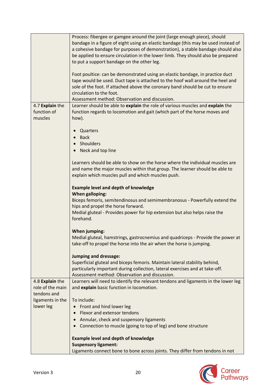|                  | Process: fibergee or gamgee around the joint (large enough piece), should          |
|------------------|------------------------------------------------------------------------------------|
|                  | bandage in a figure of eight using an elastic bandage (this may be used instead of |
|                  | a cohesive bandage for purposes of demonstration), a stable bandage should also    |
|                  | be applied to ensure circulation in the lower limb. They should also be prepared   |
|                  | to put a support bandage on the other leg.                                         |
|                  | Foot poultice: can be demonstrated using an elastic bandage, in practice duct      |
|                  | tape would be used. Duct tape is attached to the hoof wall around the heel and     |
|                  | sole of the foot. If attached above the coronary band should be cut to ensure      |
|                  | circulation to the foot.                                                           |
|                  | Assessment method: Observation and discussion.                                     |
| 4.7 Explain the  | Learner should be able to explain the role of various muscles and explain the      |
| function of      | function regards to locomotion and gait (which part of the horse moves and         |
| muscles          | how).                                                                              |
|                  |                                                                                    |
|                  | Quarters                                                                           |
|                  | Back<br>$\bullet$                                                                  |
|                  | Shoulders                                                                          |
|                  | Neck and top line                                                                  |
|                  | Learners should be able to show on the horse where the individual muscles are      |
|                  | and name the major muscles within that group. The learner should be able to        |
|                  | explain which muscles pull and which muscles push.                                 |
|                  |                                                                                    |
|                  | <b>Example level and depth of knowledge</b>                                        |
|                  | <b>When galloping:</b>                                                             |
|                  | Biceps femoris, semitendinosus and semimembranosus - Powerfully extend the         |
|                  | hips and propel the horse forward.                                                 |
|                  | Medial gluteal - Provides power for hip extension but also helps raise the         |
|                  | forehand.                                                                          |
|                  | When jumping:                                                                      |
|                  | Medial gluteal, hamstrings, gastrocnemius and quadriceps - Provide the power at    |
|                  | take-off to propel the horse into the air when the horse is jumping.               |
|                  |                                                                                    |
|                  | Jumping and dressage:                                                              |
|                  | Superficial gluteal and biceps femoris. Maintain lateral stability behind,         |
|                  | particularly important during collection, lateral exercises and at take-off.       |
|                  | Assessment method: Observation and discussion.                                     |
| 4.8 Explain the  | Learners will need to identify the relevant tendons and ligaments in the lower leg |
| role of the main | and explain basic function in locomotion.                                          |
| tendons and      |                                                                                    |
| ligaments in the | To include:                                                                        |
| lower leg        | Front and hind lower leg<br>$\bullet$                                              |
|                  | Flexor and extensor tendons<br>$\bullet$                                           |
|                  | Annular, check and suspensory ligaments<br>$\bullet$                               |
|                  | Connection to muscle (going to top of leg) and bone structure<br>$\bullet$         |
|                  | <b>Example level and depth of knowledge</b>                                        |
|                  | <b>Suspensory ligament:</b>                                                        |
|                  | Ligaments connect bone to bone across joints. They differ from tendons in not      |

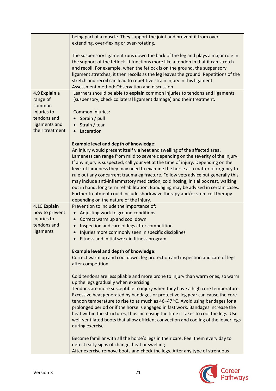|                                  | being part of a muscle. They support the joint and prevent it from over-<br>extending, over-flexing or over-rotating.                                                                                                                                                                                                                                                                                                                                                      |
|----------------------------------|----------------------------------------------------------------------------------------------------------------------------------------------------------------------------------------------------------------------------------------------------------------------------------------------------------------------------------------------------------------------------------------------------------------------------------------------------------------------------|
|                                  | The suspensory ligament runs down the back of the leg and plays a major role in<br>the support of the fetlock. It functions more like a tendon in that it can stretch<br>and recoil. For example, when the fetlock is on the ground, the suspensory<br>ligament stretches; it then recoils as the leg leaves the ground. Repetitions of the<br>stretch and recoil can lead to repetitive strain injury in this ligament.<br>Assessment method: Observation and discussion. |
| 4.9 Explain a<br>range of        | Learners should be able to explain common injuries to tendons and ligaments<br>(suspensory, check collateral ligament damage) and their treatment.                                                                                                                                                                                                                                                                                                                         |
| common                           |                                                                                                                                                                                                                                                                                                                                                                                                                                                                            |
| injuries to                      | Common injuries:                                                                                                                                                                                                                                                                                                                                                                                                                                                           |
| tendons and                      | Sprain / pull<br>$\bullet$                                                                                                                                                                                                                                                                                                                                                                                                                                                 |
| ligaments and<br>their treatment | Strain / tear                                                                                                                                                                                                                                                                                                                                                                                                                                                              |
|                                  | Laceration<br>$\bullet$                                                                                                                                                                                                                                                                                                                                                                                                                                                    |
|                                  | <b>Example level and depth of knowledge:</b>                                                                                                                                                                                                                                                                                                                                                                                                                               |
|                                  | An injury would present itself via heat and swelling of the affected area.                                                                                                                                                                                                                                                                                                                                                                                                 |
|                                  | Lameness can range from mild to severe depending on the severity of the injury.                                                                                                                                                                                                                                                                                                                                                                                            |
|                                  | If any injury is suspected, call your vet at the time of injury. Depending on the                                                                                                                                                                                                                                                                                                                                                                                          |
|                                  | level of lameness they may need to examine the horse as a matter of urgency to                                                                                                                                                                                                                                                                                                                                                                                             |
|                                  | rule out any concurrent trauma eg fracture. Follow vets advice but generally this<br>may include anti-inflammatory medication, cold hosing, initial box rest, walking                                                                                                                                                                                                                                                                                                      |
|                                  | out in hand, long term rehabilitation. Bandaging may be advised in certain cases.                                                                                                                                                                                                                                                                                                                                                                                          |
|                                  | Further treatment could include shockwave therapy and/or stem cell therapy                                                                                                                                                                                                                                                                                                                                                                                                 |
|                                  | depending on the nature of the injury.                                                                                                                                                                                                                                                                                                                                                                                                                                     |
| 4.10 Explain                     | Prevention to include the importance of:                                                                                                                                                                                                                                                                                                                                                                                                                                   |
| how to prevent                   | Adjusting work to ground conditions<br>$\bullet$                                                                                                                                                                                                                                                                                                                                                                                                                           |
| injuries to<br>tendons and       | Correct warm up and cool down                                                                                                                                                                                                                                                                                                                                                                                                                                              |
| ligaments                        | Inspection and care of legs after competition<br>$\bullet$<br>Injuries more commonly seen in specific disciplines                                                                                                                                                                                                                                                                                                                                                          |
|                                  | $\bullet$<br>Fitness and initial work in fitness program                                                                                                                                                                                                                                                                                                                                                                                                                   |
|                                  |                                                                                                                                                                                                                                                                                                                                                                                                                                                                            |
|                                  | <b>Example level and depth of knowledge:</b>                                                                                                                                                                                                                                                                                                                                                                                                                               |
|                                  | Correct warm up and cool down, leg protection and inspection and care of legs                                                                                                                                                                                                                                                                                                                                                                                              |
|                                  | after competition                                                                                                                                                                                                                                                                                                                                                                                                                                                          |
|                                  | Cold tendons are less pliable and more prone to injury than warm ones, so warm                                                                                                                                                                                                                                                                                                                                                                                             |
|                                  | up the legs gradually when exercising.                                                                                                                                                                                                                                                                                                                                                                                                                                     |
|                                  | Tendons are more susceptible to injury when they have a high core temperature.<br>Excessive heat generated by bandages or protective leg gear can cause the core                                                                                                                                                                                                                                                                                                           |
|                                  | tendon temperature to rise to as much as 46-47 °C. Avoid using bandages for a                                                                                                                                                                                                                                                                                                                                                                                              |
|                                  | prolonged period or if the horse is engaged in fast work. Bandages increase the                                                                                                                                                                                                                                                                                                                                                                                            |
|                                  | heat within the structures, thus increasing the time it takes to cool the legs. Use                                                                                                                                                                                                                                                                                                                                                                                        |
|                                  | well-ventilated boots that allow efficient convection and cooling of the lower legs                                                                                                                                                                                                                                                                                                                                                                                        |
|                                  | during exercise.                                                                                                                                                                                                                                                                                                                                                                                                                                                           |
|                                  | Become familiar with all the horse's legs in their care. Feel them every day to                                                                                                                                                                                                                                                                                                                                                                                            |
|                                  | detect early signs of change, heat or swelling.                                                                                                                                                                                                                                                                                                                                                                                                                            |
|                                  | After exercise remove boots and check the legs. After any type of strenuous                                                                                                                                                                                                                                                                                                                                                                                                |

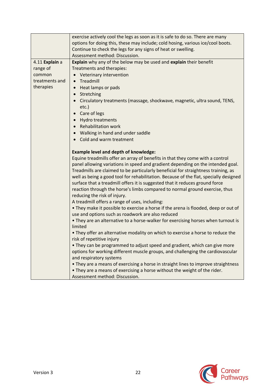|                | exercise actively cool the legs as soon as it is safe to do so. There are many        |
|----------------|---------------------------------------------------------------------------------------|
|                | options for doing this, these may include; cold hosing, various ice/cool boots.       |
|                | Continue to check the legs for any signs of heat or swelling.                         |
|                | Assessment method: Discussion.                                                        |
| 4.11 Explain a | Explain why any of the below may be used and explain their benefit                    |
| range of       | Treatments and therapies:                                                             |
| common         | Veterinary intervention                                                               |
| treatments and | Treadmill<br>$\bullet$                                                                |
| therapies      | Heat lamps or pads<br>$\bullet$                                                       |
|                | Stretching<br>$\bullet$                                                               |
|                | Circulatory treatments (massage, shockwave, magnetic, ultra sound, TENS,              |
|                | etc.)                                                                                 |
|                | Care of legs                                                                          |
|                | Hydro treatments                                                                      |
|                | <b>Rehabilitation work</b><br>$\bullet$                                               |
|                | Walking in hand and under saddle                                                      |
|                | Cold and warm treatment                                                               |
|                |                                                                                       |
|                |                                                                                       |
|                | <b>Example level and depth of knowledge:</b>                                          |
|                | Equine treadmills offer an array of benefits in that they come with a control         |
|                | panel allowing variations in speed and gradient depending on the intended goal.       |
|                | Treadmills are claimed to be particularly beneficial for straightness training, as    |
|                | well as being a good tool for rehabilitation. Because of the flat, specially designed |
|                | surface that a treadmill offers it is suggested that it reduces ground force          |
|                | reaction through the horse's limbs compared to normal ground exercise, thus           |
|                | reducing the risk of injury.                                                          |
|                | A treadmill offers a range of uses, including:                                        |
|                | • They make it possible to exercise a horse if the arena is flooded, deep or out of   |
|                | use and options such as roadwork are also reduced                                     |
|                | . They are an alternative to a horse-walker for exercising horses when turnout is     |
|                | limited                                                                               |
|                | . They offer an alternative modality on which to exercise a horse to reduce the       |
|                | risk of repetitive injury                                                             |
|                | • They can be programmed to adjust speed and gradient, which can give more            |
|                | options for working different muscle groups, and challenging the cardiovascular       |
|                | and respiratory systems                                                               |
|                | • They are a means of exercising a horse in straight lines to improve straightness    |
|                | • They are a means of exercising a horse without the weight of the rider.             |
|                | Assessment method: Discussion.                                                        |

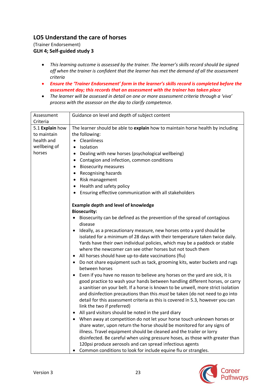# **LO5 Understand the care of horses**

(Trainer Endorsement) **GLH 4; Self-guided study 3**

- *This learning outcome is assessed by the trainer. The learner's skills record should be signed off when the trainer is confident that the learner has met the demand of all the assessment criteria*
- *Ensure the 'Trainer Endorsement' form in the learner's skills record is completed before the assessment day; this records that an assessment with the trainer has taken place*
- *The learner will be assessed in detail on one or more assessment criteria through a 'viva' process with the assessor on the day to clarify competence.*

| Assessment      | Guidance on level and depth of subject content                                          |
|-----------------|-----------------------------------------------------------------------------------------|
| Criteria        |                                                                                         |
| 5.1 Explain how | The learner should be able to explain how to maintain horse health by including         |
| to maintain     | the following:                                                                          |
| health and      | • Cleanliness                                                                           |
| wellbeing of    | • Isolation                                                                             |
| horses          | Dealing with new horses (psychological wellbeing)<br>٠                                  |
|                 | Contagion and infection, common conditions<br>٠                                         |
|                 | <b>Biosecurity measures</b><br>$\bullet$                                                |
|                 | <b>Recognising hazards</b><br>$\bullet$                                                 |
|                 | • Risk management                                                                       |
|                 | • Health and safety policy                                                              |
|                 | • Ensuring effective communication with all stakeholders                                |
|                 | <b>Example depth and level of knowledge</b>                                             |
|                 | <b>Biosecurity:</b>                                                                     |
|                 | Biosecurity can be defined as the prevention of the spread of contagious                |
|                 | disease                                                                                 |
|                 | Ideally, as a precautionary measure, new horses onto a yard should be                   |
|                 | isolated for a minimum of 28 days with their temperature taken twice daily.             |
|                 | Yards have their own individual policies, which may be a paddock or stable              |
|                 | where the newcomer can see other horses but not touch them                              |
|                 | All horses should have up-to-date vaccinations (flu)                                    |
|                 | Do not share equipment such as tack, grooming kits, water buckets and rugs<br>$\bullet$ |
|                 | between horses                                                                          |
|                 | Even if you have no reason to believe any horses on the yard are sick, it is            |
|                 | good practice to wash your hands between handling different horses, or carry            |
|                 | a sanitiser on your belt. If a horse is known to be unwell, more strict isolation       |
|                 | and disinfection precautions than this must be taken (do not need to go into            |
|                 | detail for this assessment criteria as this is covered in 5.3, however you can          |
|                 | link the two if preferred)                                                              |
|                 | All yard visitors should be noted in the yard diary                                     |
|                 | • When away at competition do not let your horse touch unknown horses or                |
|                 | share water, upon return the horse should be monitored for any signs of                 |
|                 | illness. Travel equipment should be cleaned and the trailer or lorry                    |
|                 | disinfected. Be careful when using pressure hoses, as those with greater than           |
|                 | 120psi produce aerosols and can spread infectious agents                                |
|                 | Common conditions to look for include equine flu or strangles.<br>٠                     |

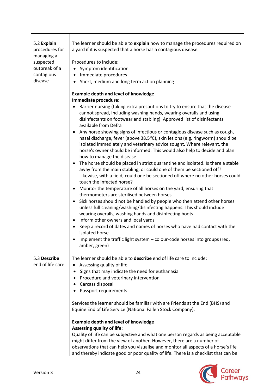| 5.2 Explain<br>procedures for<br>managing a<br>suspected<br>outbreak of a<br>contagious<br>disease | The learner should be able to explain how to manage the procedures required on<br>a yard if it is suspected that a horse has a contagious disease.<br>Procedures to include:<br>• Symptom identification<br>Immediate procedures<br>Short, medium and long term action planning<br>$\bullet$<br><b>Example depth and level of knowledge</b><br>Immediate procedure:<br>Barrier nursing (taking extra precautions to try to ensure that the disease<br>cannot spread, including washing hands, wearing overalls and using<br>disinfectants on footwear and stabling). Approved list of disinfectants<br>available from Defra<br>Any horse showing signs of infectious or contagious disease such as cough,<br>nasal discharge, fever (above 38.5°C), skin lesions (e.g. ringworm) should be<br>isolated immediately and veterinary advice sought. Where relevant, the<br>horse's owner should be informed. This would also help to decide and plan<br>how to manage the disease<br>The horse should be placed in strict quarantine and isolated. Is there a stable<br>away from the main stabling, or could one of them be sectioned off?<br>Likewise, with a field, could one be sectioned off where no other horses could<br>touch the infected horse?<br>Monitor the temperature of all horses on the yard, ensuring that<br>thermometers are sterilised between horses<br>Sick horses should not be handled by people who then attend other horses<br>unless full cleaning/washing/disinfecting happens. This should include<br>wearing overalls, washing hands and disinfecting boots<br>Inform other owners and local yards<br>Keep a record of dates and names of horses who have had contact with the<br>isolated horse<br>Implement the traffic light system - colour-code horses into groups (red,<br>amber, green) |
|----------------------------------------------------------------------------------------------------|------------------------------------------------------------------------------------------------------------------------------------------------------------------------------------------------------------------------------------------------------------------------------------------------------------------------------------------------------------------------------------------------------------------------------------------------------------------------------------------------------------------------------------------------------------------------------------------------------------------------------------------------------------------------------------------------------------------------------------------------------------------------------------------------------------------------------------------------------------------------------------------------------------------------------------------------------------------------------------------------------------------------------------------------------------------------------------------------------------------------------------------------------------------------------------------------------------------------------------------------------------------------------------------------------------------------------------------------------------------------------------------------------------------------------------------------------------------------------------------------------------------------------------------------------------------------------------------------------------------------------------------------------------------------------------------------------------------------------------------------------------------------------------------------------------------------------|
|                                                                                                    |                                                                                                                                                                                                                                                                                                                                                                                                                                                                                                                                                                                                                                                                                                                                                                                                                                                                                                                                                                                                                                                                                                                                                                                                                                                                                                                                                                                                                                                                                                                                                                                                                                                                                                                                                                                                                              |
| 5.3 Describe<br>end of life care                                                                   | The learner should be able to describe end of life care to include:<br>Assessing quality of life                                                                                                                                                                                                                                                                                                                                                                                                                                                                                                                                                                                                                                                                                                                                                                                                                                                                                                                                                                                                                                                                                                                                                                                                                                                                                                                                                                                                                                                                                                                                                                                                                                                                                                                             |
|                                                                                                    | Signs that may indicate the need for euthanasia<br>٠                                                                                                                                                                                                                                                                                                                                                                                                                                                                                                                                                                                                                                                                                                                                                                                                                                                                                                                                                                                                                                                                                                                                                                                                                                                                                                                                                                                                                                                                                                                                                                                                                                                                                                                                                                         |
|                                                                                                    | Procedure and veterinary intervention                                                                                                                                                                                                                                                                                                                                                                                                                                                                                                                                                                                                                                                                                                                                                                                                                                                                                                                                                                                                                                                                                                                                                                                                                                                                                                                                                                                                                                                                                                                                                                                                                                                                                                                                                                                        |
|                                                                                                    | Carcass disposal                                                                                                                                                                                                                                                                                                                                                                                                                                                                                                                                                                                                                                                                                                                                                                                                                                                                                                                                                                                                                                                                                                                                                                                                                                                                                                                                                                                                                                                                                                                                                                                                                                                                                                                                                                                                             |
|                                                                                                    | Passport requirements                                                                                                                                                                                                                                                                                                                                                                                                                                                                                                                                                                                                                                                                                                                                                                                                                                                                                                                                                                                                                                                                                                                                                                                                                                                                                                                                                                                                                                                                                                                                                                                                                                                                                                                                                                                                        |
|                                                                                                    |                                                                                                                                                                                                                                                                                                                                                                                                                                                                                                                                                                                                                                                                                                                                                                                                                                                                                                                                                                                                                                                                                                                                                                                                                                                                                                                                                                                                                                                                                                                                                                                                                                                                                                                                                                                                                              |
|                                                                                                    | Services the learner should be familiar with are Friends at the End (BHS) and                                                                                                                                                                                                                                                                                                                                                                                                                                                                                                                                                                                                                                                                                                                                                                                                                                                                                                                                                                                                                                                                                                                                                                                                                                                                                                                                                                                                                                                                                                                                                                                                                                                                                                                                                |
|                                                                                                    | Equine End of Life Service (National Fallen Stock Company).                                                                                                                                                                                                                                                                                                                                                                                                                                                                                                                                                                                                                                                                                                                                                                                                                                                                                                                                                                                                                                                                                                                                                                                                                                                                                                                                                                                                                                                                                                                                                                                                                                                                                                                                                                  |
|                                                                                                    | <b>Example depth and level of knowledge</b>                                                                                                                                                                                                                                                                                                                                                                                                                                                                                                                                                                                                                                                                                                                                                                                                                                                                                                                                                                                                                                                                                                                                                                                                                                                                                                                                                                                                                                                                                                                                                                                                                                                                                                                                                                                  |
|                                                                                                    | <b>Assessing quality of life:</b>                                                                                                                                                                                                                                                                                                                                                                                                                                                                                                                                                                                                                                                                                                                                                                                                                                                                                                                                                                                                                                                                                                                                                                                                                                                                                                                                                                                                                                                                                                                                                                                                                                                                                                                                                                                            |
|                                                                                                    | Quality of life can be subjective and what one person regards as being acceptable                                                                                                                                                                                                                                                                                                                                                                                                                                                                                                                                                                                                                                                                                                                                                                                                                                                                                                                                                                                                                                                                                                                                                                                                                                                                                                                                                                                                                                                                                                                                                                                                                                                                                                                                            |
|                                                                                                    | might differ from the view of another. However, there are a number of                                                                                                                                                                                                                                                                                                                                                                                                                                                                                                                                                                                                                                                                                                                                                                                                                                                                                                                                                                                                                                                                                                                                                                                                                                                                                                                                                                                                                                                                                                                                                                                                                                                                                                                                                        |
|                                                                                                    | observations that can help you visualise and monitor all aspects of a horse's life                                                                                                                                                                                                                                                                                                                                                                                                                                                                                                                                                                                                                                                                                                                                                                                                                                                                                                                                                                                                                                                                                                                                                                                                                                                                                                                                                                                                                                                                                                                                                                                                                                                                                                                                           |
|                                                                                                    | and thereby indicate good or poor quality of life. There is a checklist that can be                                                                                                                                                                                                                                                                                                                                                                                                                                                                                                                                                                                                                                                                                                                                                                                                                                                                                                                                                                                                                                                                                                                                                                                                                                                                                                                                                                                                                                                                                                                                                                                                                                                                                                                                          |



 $\overline{\phantom{a}}$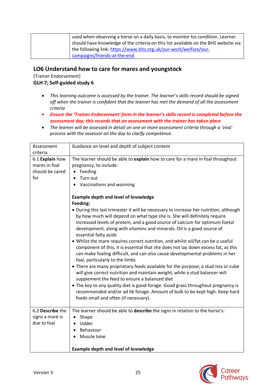| used when observing a horse on a daily basis, to monitor his condition. Learner     |
|-------------------------------------------------------------------------------------|
| should have knowledge of the criteria on this list available on the BHS website via |
| the following link: https://www.bhs.org.uk/our-work/welfare/our-                    |
| campaigns/friends-at-the-end                                                        |

# **LO6 Understand how to care for mares and youngstock**

(Trainer Endorsement) **GLH 7; Self-guided study 6**

- *This learning outcome is assessed by the trainer. The learner's skills record should be signed off when the trainer is confident that the learner has met the demand of all the assessment criteria*
- *Ensure the 'Trainer Endorsement' form in the learner's skills record is completed before the assessment day; this records that an assessment with the trainer has taken place*
- *The learner will be assessed in detail on one or more assessment criteria through a 'viva' process with the assessor on the day to clarify competence.*

| Assessment       | Guidance on level and depth of subject content                                                                                                                                                                                                                                                                                                       |
|------------------|------------------------------------------------------------------------------------------------------------------------------------------------------------------------------------------------------------------------------------------------------------------------------------------------------------------------------------------------------|
| criteria         |                                                                                                                                                                                                                                                                                                                                                      |
| 6.1 Explain how  | The learner should be able to explain how to care for a mare in foal throughout                                                                                                                                                                                                                                                                      |
| mares in foal    | pregnancy, to include:                                                                                                                                                                                                                                                                                                                               |
| should be cared  | Feeding                                                                                                                                                                                                                                                                                                                                              |
| for              | Turn out                                                                                                                                                                                                                                                                                                                                             |
|                  | Vaccinations and worming<br>٠                                                                                                                                                                                                                                                                                                                        |
|                  | <b>Example depth and level of knowledge</b>                                                                                                                                                                                                                                                                                                          |
|                  | Feeding:                                                                                                                                                                                                                                                                                                                                             |
|                  | • During this last trimester it will be necessary to increase her nutrition, although<br>by how much will depend on what type she is. She will definitely require<br>increased levels of protein, and a good source of calcium for optimum foetal<br>development, along with vitamins and minerals. Oil is a good source of<br>essential fatty acids |
|                  | • Whilst the mare requires correct nutrition, and whilst oil/fat can be a useful<br>component of this, it is essential that she does not lay down excess fat, as this<br>can make foaling difficult, and can also cause developmental problems in her<br>foal, particularly to the limbs                                                             |
|                  | • There are many proprietary feeds available for the purpose; a stud mix or cube<br>will give correct nutrition and maintain weight, while a stud balancer will<br>supplement the feed to ensure a balanced diet                                                                                                                                     |
|                  | • The key to any quality diet is good forage. Good grass throughout pregnancy is<br>recommended and/or ad lib forage. Amount of bulk to be kept high. Keep hard<br>feeds small and often (if necessary).                                                                                                                                             |
| 6.2 Describe the | The learner should be able to describe the signs in relation to the horse's:                                                                                                                                                                                                                                                                         |
| signs a mare is  | Shape                                                                                                                                                                                                                                                                                                                                                |
| due to foal      | Udder                                                                                                                                                                                                                                                                                                                                                |
|                  | Behaviour<br>$\bullet$                                                                                                                                                                                                                                                                                                                               |
|                  | Muscle tone                                                                                                                                                                                                                                                                                                                                          |
|                  |                                                                                                                                                                                                                                                                                                                                                      |
|                  | <b>Example depth and level of knowledge</b>                                                                                                                                                                                                                                                                                                          |

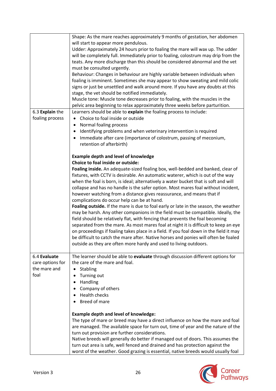|                  | Shape: As the mare reaches approximately 9 months of gestation, her abdomen            |
|------------------|----------------------------------------------------------------------------------------|
|                  | will start to appear more pendulous.                                                   |
|                  | Udder: Approximately 24 hours prior to foaling the mare will wax up. The udder         |
|                  | will be completely full. Immediately prior to foaling, colostrum may drip from the     |
|                  | teats. Any more discharge than this should be considered abnormal and the vet          |
|                  | must be consulted urgently.                                                            |
|                  | Behaviour: Changes in behaviour are highly variable between individuals when           |
|                  | foaling is imminent. Sometimes she may appear to show sweating and mild colic          |
|                  | signs or just be unsettled and walk around more. If you have any doubts at this        |
|                  | stage, the vet should be notified immediately.                                         |
|                  |                                                                                        |
|                  | Muscle tone: Muscle tone decreases prior to foaling, with the muscles in the           |
|                  | pelvic area beginning to relax approximately three weeks before parturition.           |
| 6.3 Explain the  | Learners should be able to explain the foaling process to include:                     |
| foaling process  | Choice to foal inside or outside<br>$\bullet$                                          |
|                  | Normal foaling process<br>٠                                                            |
|                  | Identifying problems and when veterinary intervention is required<br>$\bullet$         |
|                  | Immediate after care (importance of colostrum, passing of meconium,<br>٠               |
|                  | retention of afterbirth)                                                               |
|                  |                                                                                        |
|                  |                                                                                        |
|                  | <b>Example depth and level of knowledge</b>                                            |
|                  | Choice to foal inside or outside:                                                      |
|                  | Foaling inside. An adequate-sized foaling box, well-bedded and banked, clear of        |
|                  | fixtures, with CCTV is desirable. An automatic waterer, which is out of the way        |
|                  | when the foal is born, is ideal; alternatively a water bucket that is soft and will    |
|                  | collapse and has no handle is the safer option. Most mares foal without incident,      |
|                  | however watching from a distance gives reassurance, and means that if                  |
|                  | complications do occur help can be at hand.                                            |
|                  | Foaling outside. If the mare is due to foal early or late in the season, the weather   |
|                  | may be harsh. Any other companions in the field must be compatible. Ideally, the       |
|                  | field should be relatively flat, with fencing that prevents the foal becoming          |
|                  | separated from the mare. As most mares foal at night it is difficult to keep an eye    |
|                  |                                                                                        |
|                  | on proceedings if foaling takes place in a field. If you foal down in the field it may |
|                  | be difficult to catch the mare after. Native horses and ponies will often be foaled    |
|                  | outside as they are often more hardy and used to living outdoors.                      |
|                  |                                                                                        |
| 6.4 Evaluate     | The learner should be able to evaluate through discussion different options for        |
| care options for | the care of the mare and foal.                                                         |
| the mare and     | Stabling                                                                               |
| foal             | Turning out<br>٠                                                                       |
|                  | Handling                                                                               |
|                  | Company of others                                                                      |
|                  | <b>Health checks</b>                                                                   |
|                  | Breed of mare                                                                          |
|                  |                                                                                        |
|                  | <b>Example depth and level of knowledge:</b>                                           |
|                  | The type of mare or breed may have a direct influence on how the mare and foal         |
|                  | are managed. The available space for turn out, time of year and the nature of the      |
|                  |                                                                                        |
|                  | turn out provision are further considerations.                                         |
|                  | Native breeds will generally do better if managed out of doors. This assumes the       |
|                  | turn out area is safe, well fenced and drained and has protection against the          |
|                  | worst of the weather. Good grazing is essential, native breeds would usually foal      |

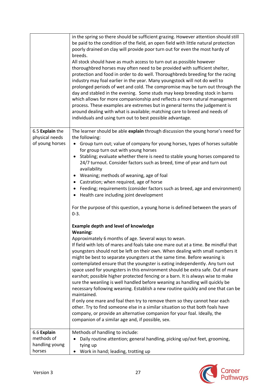|                                                       | in the spring so there should be sufficient grazing. However attention should still<br>be paid to the condition of the field, an open field with little natural protection<br>poorly drained on clay will provide poor turn out for even the most hardy of<br>breeds.<br>All stock should have as much access to turn out as possible however<br>thoroughbred horses may often need to be provided with sufficient shelter,<br>protection and food in order to do well. Thoroughbreds breeding for the racing<br>industry may foal earlier in the year. Many youngstock will not do well to<br>prolonged periods of wet and cold. The compromise may be turn out through the<br>day and stabled in the evening. Some studs may keep breeding stock in barns<br>which allows for more companionship and reflects a more natural management<br>process. These examples are extremes but in general terms the judgement is<br>around dealing with what is available; matching care to breed and needs of<br>individuals and using turn out to best possible advantage.                                                                                                                                                                                                                                                                                                                                                                                                                                                                                                                                                                                                                                                                                                                                                                                                                                          |
|-------------------------------------------------------|--------------------------------------------------------------------------------------------------------------------------------------------------------------------------------------------------------------------------------------------------------------------------------------------------------------------------------------------------------------------------------------------------------------------------------------------------------------------------------------------------------------------------------------------------------------------------------------------------------------------------------------------------------------------------------------------------------------------------------------------------------------------------------------------------------------------------------------------------------------------------------------------------------------------------------------------------------------------------------------------------------------------------------------------------------------------------------------------------------------------------------------------------------------------------------------------------------------------------------------------------------------------------------------------------------------------------------------------------------------------------------------------------------------------------------------------------------------------------------------------------------------------------------------------------------------------------------------------------------------------------------------------------------------------------------------------------------------------------------------------------------------------------------------------------------------------------------------------------------------------------------------------------------------|
| 6.5 Explain the<br>physical needs<br>of young horses  | The learner should be able explain through discussion the young horse's need for<br>the following:<br>• Group turn out; value of company for young horses, types of horses suitable<br>for group turn out with young horses<br>Stabling; evaluate whether there is need to stable young horses compared to<br>$\bullet$<br>24/7 turnout. Consider factors such as breed, time of year and turn out<br>availability<br>Weaning; methods of weaning, age of foal<br>$\bullet$<br>Castration; when required, age of horse<br>$\bullet$<br>Feeding; requirements (consider factors such as breed, age and environment)<br>$\bullet$<br>Health care including joint development<br>$\bullet$<br>For the purpose of this question, a young horse is defined between the years of<br>$0-3.$<br><b>Example depth and level of knowledge</b><br><b>Weaning:</b><br>Approximately 6 months of age. Several ways to wean.<br>If field with lots of mares and foals take one mare out at a time. Be mindful that<br>youngsters should not be left on their own. When dealing with small numbers it<br>might be best to separate youngsters at the same time. Before weaning is<br>contemplated ensure that the youngster is eating independently. Any turn out<br>space used for youngsters in this environment should be extra safe. Out of mare<br>earshot; possible higher protected fencing or a barn. It is always wise to make<br>sure the weanling is well handled before weaning as handling will quickly be<br>necessary following weaning. Establish a new routine quickly and one that can be<br>maintained.<br>If only one mare and foal then try to remove them so they cannot hear each<br>other. Try to find someone else in a similar situation so that both foals have<br>company, or provide an alternative companion for your foal. Ideally, the<br>companion of a similar age and, if possible, sex. |
| 6.6 Explain<br>methods of<br>handling young<br>horses | Methods of handling to include:<br>Daily routine attention; general handling, picking up/out feet, grooming,<br>tying up<br>Work in hand; leading, trotting up<br>٠                                                                                                                                                                                                                                                                                                                                                                                                                                                                                                                                                                                                                                                                                                                                                                                                                                                                                                                                                                                                                                                                                                                                                                                                                                                                                                                                                                                                                                                                                                                                                                                                                                                                                                                                          |

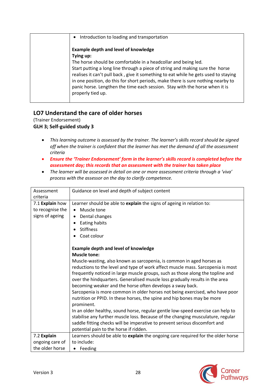| Introduction to loading and transportation<br>$\bullet$                             |
|-------------------------------------------------------------------------------------|
| <b>Example depth and level of knowledge</b>                                         |
| Tying up:                                                                           |
| The horse should be comfortable in a headcollar and being led.                      |
| Start putting a long line through a piece of string and making sure the horse       |
| realises it can't pull back, give it something to eat while he gets used to staying |
| in one position, do this for short periods, make there is sure nothing nearby to    |
| panic horse. Lengthen the time each session. Stay with the horse when it is         |
| properly tied up.                                                                   |
|                                                                                     |

# **LO7 Understand the care of older horses**

(Trainer Endorsement)

**GLH 3; Self-guided study 3**

- *This learning outcome is assessed by the trainer. The learner's skills record should be signed off when the trainer is confident that the learner has met the demand of all the assessment criteria*
- *Ensure the 'Trainer Endorsement' form in the learner's skills record is completed before the assessment day; this records that an assessment with the trainer has taken place*
- *The learner will be assessed in detail on one or more assessment criteria through a 'viva' process with the assessor on the day to clarify competence.*

| Assessment<br>criteria | Guidance on level and depth of subject content                                   |
|------------------------|----------------------------------------------------------------------------------|
|                        |                                                                                  |
| 7.1 Explain how        | Learner should be able to explain the signs of ageing in relation to:            |
| to recognise the       | Muscle tone<br>$\bullet$                                                         |
| signs of ageing        | Dental changes                                                                   |
|                        | Eating habits                                                                    |
|                        | <b>Stiffness</b>                                                                 |
|                        | Coat colour                                                                      |
|                        |                                                                                  |
|                        | <b>Example depth and level of knowledge</b>                                      |
|                        | <b>Muscle tone:</b>                                                              |
|                        | Muscle-wasting, also known as sarcopenia, is common in aged horses as            |
|                        | reductions to the level and type of work affect muscle mass. Sarcopenia is most  |
|                        | frequently noticed in large muscle groups, such as those along the topline and   |
|                        | over the hindquarters. Generalised muscle loss gradually results in the area     |
|                        | becoming weaker and the horse often develops a sway back.                        |
|                        | Sarcopenia is more common in older horses not being exercised, who have poor     |
|                        | nutrition or PPID. In these horses, the spine and hip bones may be more          |
|                        | prominent.                                                                       |
|                        | In an older healthy, sound horse, regular gentle low-speed exercise can help to  |
|                        | stabilise any further muscle loss. Because of the changing musculature, regular  |
|                        | saddle fitting checks will be imperative to prevent serious discomfort and       |
|                        | potential pain to the horse if ridden.                                           |
| 7.2 Explain            | Learners should be able to explain the ongoing care required for the older horse |
| ongoing care of        | to include:                                                                      |
| the older horse        | Feeding<br>٠                                                                     |
|                        |                                                                                  |